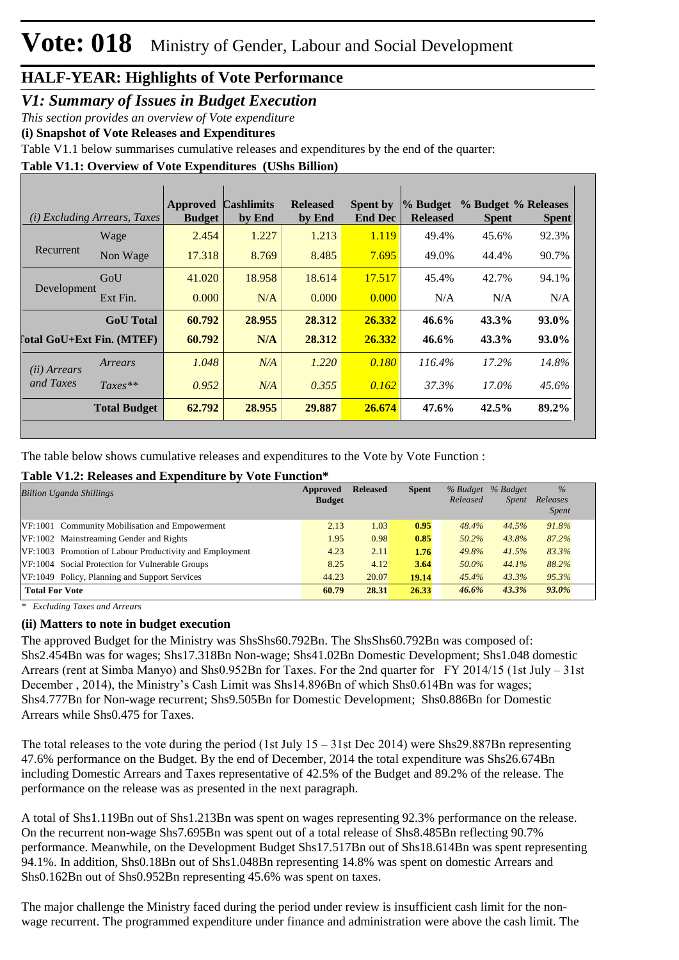#### *V1: Summary of Issues in Budget Execution*

*This section provides an overview of Vote expenditure* 

**(i) Snapshot of Vote Releases and Expenditures**

Table V1.1 below summarises cumulative releases and expenditures by the end of the quarter:

**Table V1.1: Overview of Vote Expenditures (UShs Billion)**

|                                  | (i) Excluding Arrears, Taxes | Approved<br><b>Budget</b> | <b>Cashlimits</b><br>by End | <b>Released</b><br>by End | <b>Spent by</b><br><b>End Dec</b> | % Budget<br><b>Released</b> | % Budget % Releases<br><b>Spent</b> | <b>Spent</b> |
|----------------------------------|------------------------------|---------------------------|-----------------------------|---------------------------|-----------------------------------|-----------------------------|-------------------------------------|--------------|
|                                  | Wage                         | 2.454                     | 1.227                       | 1.213                     | 1.119                             | 49.4%                       | 45.6%                               | 92.3%        |
| Recurrent                        | Non Wage                     | 17.318                    | 8.769                       | 8.485                     | 7.695                             | 49.0%                       | 44.4%                               | 90.7%        |
|                                  | GoU                          | 41.020                    | 18.958                      | 18.614                    | 17.517                            | 45.4%                       | 42.7%                               | 94.1%        |
| Development                      | Ext Fin.                     | 0.000                     | N/A                         | 0.000                     | 0.000                             | N/A                         | N/A                                 | N/A          |
|                                  | <b>GoU</b> Total             | 60.792                    | 28.955                      | 28.312                    | 26.332                            | 46.6%                       | 43.3%                               | 93.0%        |
| <b>Total GoU+Ext Fin. (MTEF)</b> |                              | 60.792                    | N/A                         | 28.312                    | 26.332                            | $46.6\%$                    | 43.3%                               | 93.0%        |
| (ii) Arrears                     | Arrears                      | 1.048                     | N/A                         | 1.220                     | 0.180                             | 116.4%                      | $17.2\%$                            | 14.8%        |
| and Taxes                        | $Taxes**$                    | 0.952                     | N/A                         | 0.355                     | 0.162                             | 37.3%                       | 17.0%                               | 45.6%        |
|                                  | <b>Total Budget</b>          | 62.792                    | 28.955                      | 29.887                    | 26.674                            | 47.6%                       | 42.5%                               | 89.2%        |

The table below shows cumulative releases and expenditures to the Vote by Vote Function :

#### **Table V1.2: Releases and Expenditure by Vote Function\***

| <b>Billion Uganda Shillings</b>                         |       | <b>Released</b> | <b>Spent</b> | % Budget<br>Released | % Budget<br>Spent | $\%$<br>Releases<br><i>Spent</i> |
|---------------------------------------------------------|-------|-----------------|--------------|----------------------|-------------------|----------------------------------|
| VF:1001 Community Mobilisation and Empowerment          | 2.13  | 1.03            | 0.95         | 48.4%                | 44.5%             | 91.8%                            |
| VF:1002 Mainstreaming Gender and Rights                 | 1.95  | 0.98            | 0.85         | 50.2%                | 43.8%             | 87.2%                            |
| VF:1003 Promotion of Labour Productivity and Employment | 4.23  | 2.11            | 1.76         | 49.8%                | 41.5%             | 83.3%                            |
| VF:1004 Social Protection for Vulnerable Groups         | 8.25  | 4.12            | 3.64         | 50.0%                | 44.1%             | 88.2%                            |
| VF:1049 Policy, Planning and Support Services           | 44.23 | 20.07           | 19.14        | 45.4%                | 43.3%             | 95.3%                            |
| <b>Total For Vote</b>                                   | 60.79 | 28.31           | 26.33        | 46.6%                | 43.3%             | 93.0%                            |

*\* Excluding Taxes and Arrears*

#### **(ii) Matters to note in budget execution**

The approved Budget for the Ministry was ShsShs60.792Bn. The ShsShs60.792Bn was composed of: Shs2.454Bn was for wages; Shs17.318Bn Non-wage; Shs41.02Bn Domestic Development; Shs1.048 domestic Arrears (rent at Simba Manyo) and Shs0.952Bn for Taxes. For the 2nd quarter for FY 2014/15 (1st July – 31st December , 2014), the Ministry's Cash Limit was Shs14.896Bn of which Shs0.614Bn was for wages; Shs4.777Bn for Non-wage recurrent; Shs9.505Bn for Domestic Development; Shs0.886Bn for Domestic Arrears while Shs0.475 for Taxes.

The total releases to the vote during the period (1st July 15 – 31st Dec 2014) were Shs29.887Bn representing 47.6% performance on the Budget. By the end of December, 2014 the total expenditure was Shs26.674Bn including Domestic Arrears and Taxes representative of 42.5% of the Budget and 89.2% of the release. The performance on the release was as presented in the next paragraph.

A total of Shs1.119Bn out of Shs1.213Bn was spent on wages representing 92.3% performance on the release. On the recurrent non-wage Shs7.695Bn was spent out of a total release of Shs8.485Bn reflecting 90.7% performance. Meanwhile, on the Development Budget Shs17.517Bn out of Shs18.614Bn was spent representing 94.1%. In addition, Shs0.18Bn out of Shs1.048Bn representing 14.8% was spent on domestic Arrears and Shs0.162Bn out of Shs0.952Bn representing 45.6% was spent on taxes.

The major challenge the Ministry faced during the period under review is insufficient cash limit for the nonwage recurrent. The programmed expenditure under finance and administration were above the cash limit. The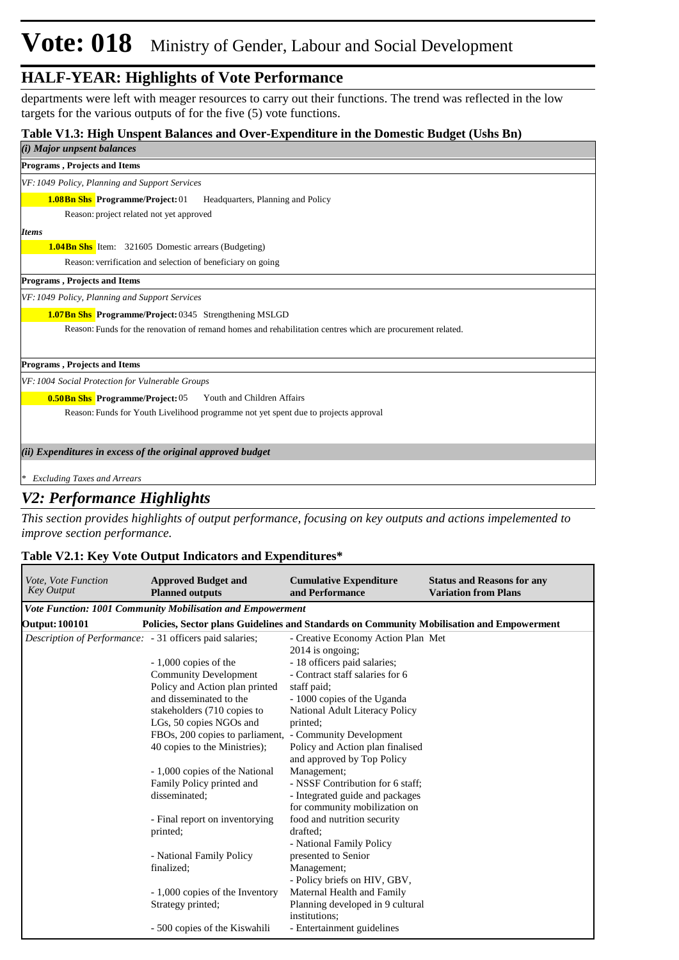departments were left with meager resources to carry out their functions. The trend was reflected in the low targets for the various outputs of for the five (5) vote functions.

#### **Table V1.3: High Unspent Balances and Over-Expenditure in the Domestic Budget (Ushs Bn)**

| (i) Major unpsent balances                                                                                 |
|------------------------------------------------------------------------------------------------------------|
| Programs, Projects and Items                                                                               |
| VF: 1049 Policy, Planning and Support Services                                                             |
| <b>1.08Bn Shs Programme/Project: 01</b><br>Headquarters, Planning and Policy                               |
| Reason: project related not yet approved                                                                   |
| <b>Items</b>                                                                                               |
| <b>1.04Bn Shs</b> Item: 321605 Domestic arrears (Budgeting)                                                |
| Reason: verrification and selection of beneficiary on going                                                |
| <b>Programs, Projects and Items</b>                                                                        |
| VF: 1049 Policy, Planning and Support Services                                                             |
| 1.07Bn Shs Programme/Project: 0345 Strengthening MSLGD                                                     |
| Reason: Funds for the renovation of remand homes and rehabilitation centres which are procurement related. |
|                                                                                                            |
| Programs, Projects and Items                                                                               |
| VF: 1004 Social Protection for Vulnerable Groups                                                           |
| <b>0.50Bn Shs Programme/Project: 05</b><br>Youth and Children Affairs                                      |
| Reason: Funds for Youth Livelihood programme not yet spent due to projects approval                        |
|                                                                                                            |
| (ii) Expenditures in excess of the original approved budget                                                |
|                                                                                                            |
| <b>Excluding Taxes and Arrears</b>                                                                         |

#### *V2: Performance Highlights*

*This section provides highlights of output performance, focusing on key outputs and actions impelemented to improve section performance.*

#### **Table V2.1: Key Vote Output Indicators and Expenditures\***

| <i>Vote, Vote Function</i><br><b>Key Output</b>                 | <b>Approved Budget and</b><br><b>Planned outputs</b>                                      | <b>Cumulative Expenditure</b><br>and Performance       | <b>Status and Reasons for any</b><br><b>Variation from Plans</b> |
|-----------------------------------------------------------------|-------------------------------------------------------------------------------------------|--------------------------------------------------------|------------------------------------------------------------------|
|                                                                 | Vote Function: 1001 Community Mobilisation and Empowerment                                |                                                        |                                                                  |
| <b>Output: 100101</b>                                           | Policies, Sector plans Guidelines and Standards on Community Mobilisation and Empowerment |                                                        |                                                                  |
| <i>Description of Performance:</i> - 31 officers paid salaries; |                                                                                           | - Creative Economy Action Plan Met<br>2014 is ongoing; |                                                                  |
|                                                                 | $-1,000$ copies of the                                                                    | - 18 officers paid salaries;                           |                                                                  |
|                                                                 | <b>Community Development</b>                                                              | - Contract staff salaries for 6                        |                                                                  |
|                                                                 | Policy and Action plan printed                                                            | staff paid;                                            |                                                                  |
|                                                                 | and disseminated to the                                                                   | - 1000 copies of the Uganda                            |                                                                  |
|                                                                 | stakeholders (710 copies to                                                               | National Adult Literacy Policy                         |                                                                  |
|                                                                 | LGs, 50 copies NGOs and                                                                   | printed;                                               |                                                                  |
|                                                                 | FBOs, 200 copies to parliament, - Community Development                                   |                                                        |                                                                  |
|                                                                 | 40 copies to the Ministries);                                                             | Policy and Action plan finalised                       |                                                                  |
|                                                                 |                                                                                           | and approved by Top Policy                             |                                                                  |
|                                                                 | - 1,000 copies of the National                                                            | Management;                                            |                                                                  |
|                                                                 | Family Policy printed and                                                                 | - NSSF Contribution for 6 staff;                       |                                                                  |
|                                                                 | disseminated;                                                                             | - Integrated guide and packages                        |                                                                  |
|                                                                 |                                                                                           | for community mobilization on                          |                                                                  |
|                                                                 | - Final report on inventorying                                                            | food and nutrition security                            |                                                                  |
|                                                                 | printed;                                                                                  | drafted:                                               |                                                                  |
|                                                                 |                                                                                           | - National Family Policy                               |                                                                  |
|                                                                 | - National Family Policy                                                                  | presented to Senior                                    |                                                                  |
|                                                                 | finalized;                                                                                | Management;                                            |                                                                  |
|                                                                 |                                                                                           | - Policy briefs on HIV, GBV,                           |                                                                  |
|                                                                 | - 1,000 copies of the Inventory                                                           | Maternal Health and Family                             |                                                                  |
|                                                                 | Strategy printed;                                                                         | Planning developed in 9 cultural                       |                                                                  |
|                                                                 |                                                                                           | institutions:                                          |                                                                  |
|                                                                 | - 500 copies of the Kiswahili                                                             | - Entertainment guidelines                             |                                                                  |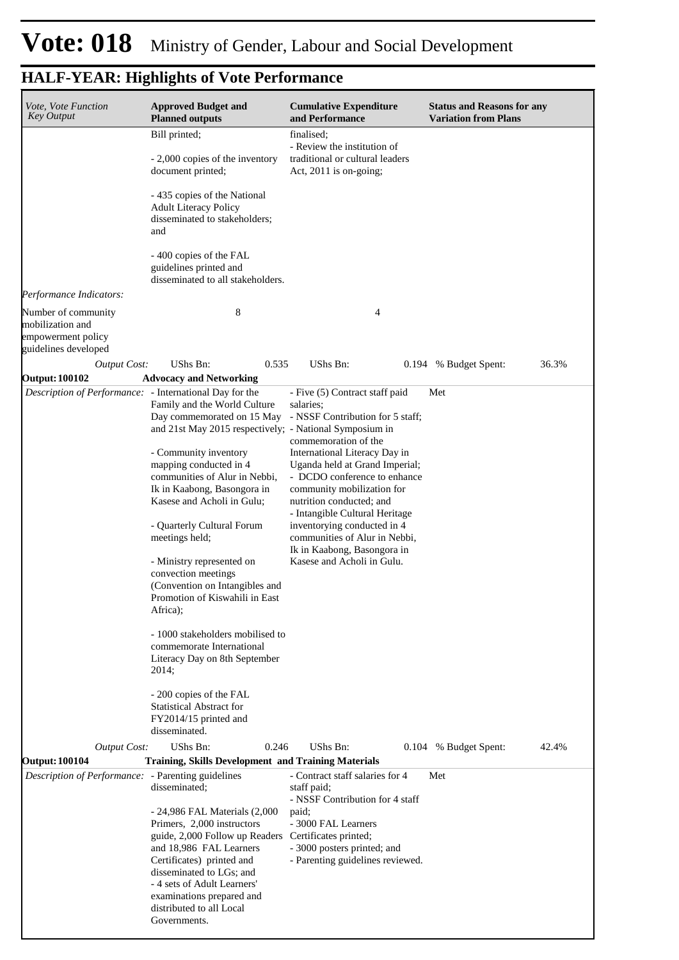| Vote, Vote Function<br><b>Key Output</b>                                              | <b>Approved Budget and</b><br><b>Planned outputs</b>                                                                                                                                                                       | <b>Cumulative Expenditure</b><br>and Performance                                                                                                           | <b>Status and Reasons for any</b><br><b>Variation from Plans</b> |
|---------------------------------------------------------------------------------------|----------------------------------------------------------------------------------------------------------------------------------------------------------------------------------------------------------------------------|------------------------------------------------------------------------------------------------------------------------------------------------------------|------------------------------------------------------------------|
|                                                                                       | Bill printed;<br>- 2,000 copies of the inventory<br>document printed;                                                                                                                                                      | finalised;<br>- Review the institution of<br>traditional or cultural leaders<br>Act, $2011$ is on-going;                                                   |                                                                  |
|                                                                                       | - 435 copies of the National<br><b>Adult Literacy Policy</b><br>disseminated to stakeholders;<br>and                                                                                                                       |                                                                                                                                                            |                                                                  |
|                                                                                       | - 400 copies of the FAL<br>guidelines printed and<br>disseminated to all stakeholders.                                                                                                                                     |                                                                                                                                                            |                                                                  |
| Performance Indicators:                                                               |                                                                                                                                                                                                                            |                                                                                                                                                            |                                                                  |
| Number of community<br>mobilization and<br>empowerment policy<br>guidelines developed | 8                                                                                                                                                                                                                          | 4                                                                                                                                                          |                                                                  |
| <b>Output Cost:</b>                                                                   | UShs Bn:<br>0.535                                                                                                                                                                                                          | UShs Bn:                                                                                                                                                   | 36.3%<br>0.194 % Budget Spent:                                   |
| <b>Output: 100102</b>                                                                 | <b>Advocacy and Networking</b>                                                                                                                                                                                             |                                                                                                                                                            |                                                                  |
| Description of Performance: - International Day for the                               | Family and the World Culture<br>Day commemorated on 15 May<br>and 21st May 2015 respectively; - National Symposium in<br>- Community inventory                                                                             | - Five (5) Contract staff paid<br>salaries:<br>- NSSF Contribution for 5 staff;<br>commemoration of the<br>International Literacy Day in                   | Met                                                              |
|                                                                                       | mapping conducted in 4<br>communities of Alur in Nebbi,<br>Ik in Kaabong, Basongora in<br>Kasese and Acholi in Gulu;                                                                                                       | Uganda held at Grand Imperial;<br>- DCDO conference to enhance<br>community mobilization for<br>nutrition conducted; and<br>- Intangible Cultural Heritage |                                                                  |
|                                                                                       | - Quarterly Cultural Forum<br>meetings held;<br>- Ministry represented on<br>convection meetings<br>(Convention on Intangibles and<br>Promotion of Kiswahili in East<br>Africa);                                           | inventorying conducted in 4<br>communities of Alur in Nebbi,<br>Ik in Kaabong, Basongora in<br>Kasese and Acholi in Gulu.                                  |                                                                  |
|                                                                                       | - 1000 stakeholders mobilised to<br>commemorate International<br>Literacy Day on 8th September<br>2014;                                                                                                                    |                                                                                                                                                            |                                                                  |
|                                                                                       | - 200 copies of the FAL<br><b>Statistical Abstract for</b><br>FY2014/15 printed and<br>disseminated.                                                                                                                       |                                                                                                                                                            |                                                                  |
| <b>Output Cost:</b>                                                                   | UShs Bn:<br>0.246                                                                                                                                                                                                          | UShs Bn:<br>0.104                                                                                                                                          | % Budget Spent:<br>42.4%                                         |
| <b>Output: 100104</b>                                                                 | <b>Training, Skills Development and Training Materials</b>                                                                                                                                                                 |                                                                                                                                                            |                                                                  |
| Description of Performance: - Parenting guidelines                                    | disseminated;<br>- 24,986 FAL Materials (2,000<br>Primers, 2,000 instructors                                                                                                                                               | - Contract staff salaries for 4<br>staff paid;<br>- NSSF Contribution for 4 staff<br>paid;<br>- 3000 FAL Learners                                          | Met                                                              |
|                                                                                       | guide, 2,000 Follow up Readers<br>and 18,986 FAL Learners<br>Certificates) printed and<br>disseminated to LGs; and<br>- 4 sets of Adult Learners'<br>examinations prepared and<br>distributed to all Local<br>Governments. | Certificates printed;<br>- 3000 posters printed; and<br>- Parenting guidelines reviewed.                                                                   |                                                                  |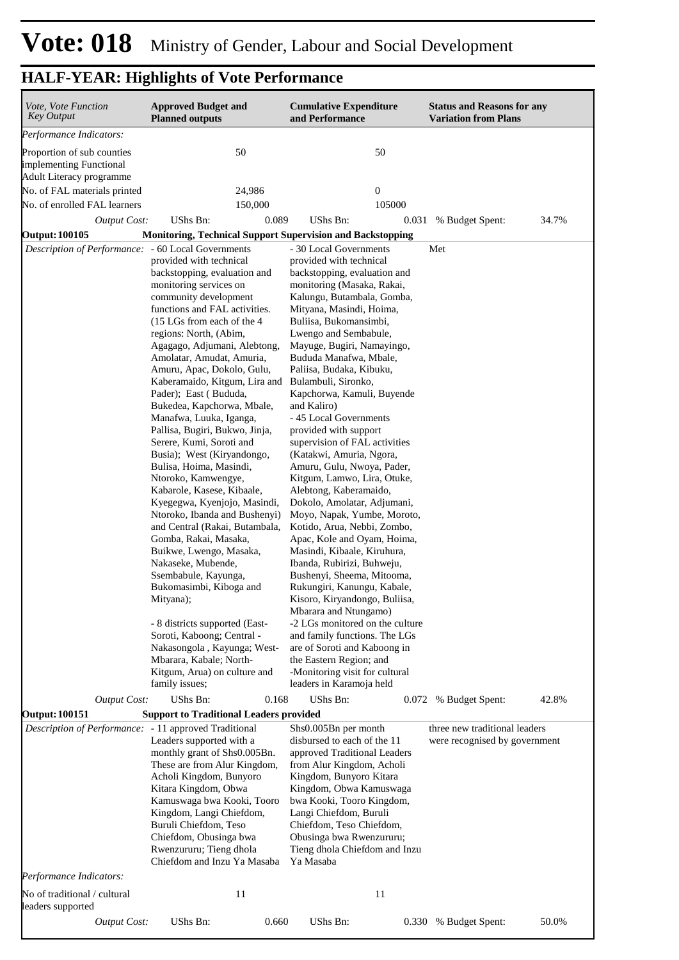| Vote, Vote Function<br><b>Key Output</b>                                                                                                                    | <b>Approved Budget and</b><br><b>Planned outputs</b>                                                                                                                                                                                                                                                                                                                                                                                                                                                                                                                                                                                                                                                                                                                                                                                                                                                                                                                                                                                                                                                                                                                                                                                                                                                   | <b>Cumulative Expenditure</b><br>and Performance                                                                                                                                                                                                                                                                                                                                                                                                                                                                                                                                                                                                                                                                                                                                                                                                                                                                                                                                                                                                                                                                                                                                                                                                                                                                                                               | <b>Status and Reasons for any</b><br><b>Variation from Plans</b>                                  |
|-------------------------------------------------------------------------------------------------------------------------------------------------------------|--------------------------------------------------------------------------------------------------------------------------------------------------------------------------------------------------------------------------------------------------------------------------------------------------------------------------------------------------------------------------------------------------------------------------------------------------------------------------------------------------------------------------------------------------------------------------------------------------------------------------------------------------------------------------------------------------------------------------------------------------------------------------------------------------------------------------------------------------------------------------------------------------------------------------------------------------------------------------------------------------------------------------------------------------------------------------------------------------------------------------------------------------------------------------------------------------------------------------------------------------------------------------------------------------------|----------------------------------------------------------------------------------------------------------------------------------------------------------------------------------------------------------------------------------------------------------------------------------------------------------------------------------------------------------------------------------------------------------------------------------------------------------------------------------------------------------------------------------------------------------------------------------------------------------------------------------------------------------------------------------------------------------------------------------------------------------------------------------------------------------------------------------------------------------------------------------------------------------------------------------------------------------------------------------------------------------------------------------------------------------------------------------------------------------------------------------------------------------------------------------------------------------------------------------------------------------------------------------------------------------------------------------------------------------------|---------------------------------------------------------------------------------------------------|
| Performance Indicators:                                                                                                                                     |                                                                                                                                                                                                                                                                                                                                                                                                                                                                                                                                                                                                                                                                                                                                                                                                                                                                                                                                                                                                                                                                                                                                                                                                                                                                                                        |                                                                                                                                                                                                                                                                                                                                                                                                                                                                                                                                                                                                                                                                                                                                                                                                                                                                                                                                                                                                                                                                                                                                                                                                                                                                                                                                                                |                                                                                                   |
| Proportion of sub counties<br>implementing Functional<br>Adult Literacy programme                                                                           | 50                                                                                                                                                                                                                                                                                                                                                                                                                                                                                                                                                                                                                                                                                                                                                                                                                                                                                                                                                                                                                                                                                                                                                                                                                                                                                                     | 50                                                                                                                                                                                                                                                                                                                                                                                                                                                                                                                                                                                                                                                                                                                                                                                                                                                                                                                                                                                                                                                                                                                                                                                                                                                                                                                                                             |                                                                                                   |
| No. of FAL materials printed                                                                                                                                | 24,986                                                                                                                                                                                                                                                                                                                                                                                                                                                                                                                                                                                                                                                                                                                                                                                                                                                                                                                                                                                                                                                                                                                                                                                                                                                                                                 | $\boldsymbol{0}$                                                                                                                                                                                                                                                                                                                                                                                                                                                                                                                                                                                                                                                                                                                                                                                                                                                                                                                                                                                                                                                                                                                                                                                                                                                                                                                                               |                                                                                                   |
| No. of enrolled FAL learners                                                                                                                                | 150,000                                                                                                                                                                                                                                                                                                                                                                                                                                                                                                                                                                                                                                                                                                                                                                                                                                                                                                                                                                                                                                                                                                                                                                                                                                                                                                | 105000                                                                                                                                                                                                                                                                                                                                                                                                                                                                                                                                                                                                                                                                                                                                                                                                                                                                                                                                                                                                                                                                                                                                                                                                                                                                                                                                                         |                                                                                                   |
| <b>Output Cost:</b>                                                                                                                                         | UShs Bn:<br>0.089                                                                                                                                                                                                                                                                                                                                                                                                                                                                                                                                                                                                                                                                                                                                                                                                                                                                                                                                                                                                                                                                                                                                                                                                                                                                                      | UShs Bn:<br>0.031                                                                                                                                                                                                                                                                                                                                                                                                                                                                                                                                                                                                                                                                                                                                                                                                                                                                                                                                                                                                                                                                                                                                                                                                                                                                                                                                              | 34.7%<br>% Budget Spent:                                                                          |
| <b>Output: 100105</b>                                                                                                                                       | <b>Monitoring, Technical Support Supervision and Backstopping</b>                                                                                                                                                                                                                                                                                                                                                                                                                                                                                                                                                                                                                                                                                                                                                                                                                                                                                                                                                                                                                                                                                                                                                                                                                                      |                                                                                                                                                                                                                                                                                                                                                                                                                                                                                                                                                                                                                                                                                                                                                                                                                                                                                                                                                                                                                                                                                                                                                                                                                                                                                                                                                                |                                                                                                   |
| Description of Performance: - 60 Local Governments<br><b>Output Cost:</b><br><b>Output: 100151</b><br>Description of Performance: - 11 approved Traditional | provided with technical<br>backstopping, evaluation and<br>monitoring services on<br>community development<br>functions and FAL activities.<br>(15 LGs from each of the 4<br>regions: North, (Abim,<br>Agagago, Adjumani, Alebtong,<br>Amolatar, Amudat, Amuria,<br>Amuru, Apac, Dokolo, Gulu,<br>Kaberamaido, Kitgum, Lira and<br>Pader); East (Bududa,<br>Bukedea, Kapchorwa, Mbale,<br>Manafwa, Luuka, Iganga,<br>Pallisa, Bugiri, Bukwo, Jinja,<br>Serere, Kumi, Soroti and<br>Busia); West (Kiryandongo,<br>Bulisa, Hoima, Masindi,<br>Ntoroko, Kamwengye,<br>Kabarole, Kasese, Kibaale,<br>Kyegegwa, Kyenjojo, Masindi,<br>Ntoroko, Ibanda and Bushenyi)<br>and Central (Rakai, Butambala,<br>Gomba, Rakai, Masaka,<br>Buikwe, Lwengo, Masaka,<br>Nakaseke, Mubende,<br>Ssembabule, Kayunga,<br>Bukomasimbi, Kiboga and<br>Mityana);<br>- 8 districts supported (East-<br>Soroti, Kaboong; Central -<br>Nakasongola, Kayunga; West-<br>Mbarara, Kabale; North-<br>Kitgum, Arua) on culture and<br>family issues;<br>UShs Bn:<br>0.168<br><b>Support to Traditional Leaders provided</b><br>Leaders supported with a<br>monthly grant of Shs0.005Bn.<br>These are from Alur Kingdom,<br>Acholi Kingdom, Bunyoro<br>Kitara Kingdom, Obwa<br>Kamuswaga bwa Kooki, Tooro<br>Kingdom, Langi Chiefdom, | - 30 Local Governments<br>provided with technical<br>backstopping, evaluation and<br>monitoring (Masaka, Rakai,<br>Kalungu, Butambala, Gomba,<br>Mityana, Masindi, Hoima,<br>Buliisa, Bukomansimbi,<br>Lwengo and Sembabule,<br>Mayuge, Bugiri, Namayingo,<br>Bududa Manafwa, Mbale,<br>Paliisa, Budaka, Kibuku,<br>Bulambuli, Sironko,<br>Kapchorwa, Kamuli, Buyende<br>and Kaliro)<br>- 45 Local Governments<br>provided with support<br>supervision of FAL activities<br>(Katakwi, Amuria, Ngora,<br>Amuru, Gulu, Nwoya, Pader,<br>Kitgum, Lamwo, Lira, Otuke,<br>Alebtong, Kaberamaido,<br>Dokolo, Amolatar, Adjumani,<br>Moyo, Napak, Yumbe, Moroto,<br>Kotido, Arua, Nebbi, Zombo,<br>Apac, Kole and Oyam, Hoima,<br>Masindi, Kibaale, Kiruhura,<br>Ibanda, Rubirizi, Buhweju,<br>Bushenyi, Sheema, Mitooma,<br>Rukungiri, Kanungu, Kabale,<br>Kisoro, Kiryandongo, Buliisa,<br>Mbarara and Ntungamo)<br>-2 LGs monitored on the culture<br>and family functions. The LGs<br>are of Soroti and Kaboong in<br>the Eastern Region; and<br>-Monitoring visit for cultural<br>leaders in Karamoja held<br>UShs Bn:<br>0.072<br>Shs0.005Bn per month<br>disbursed to each of the 11<br>approved Traditional Leaders<br>from Alur Kingdom, Acholi<br>Kingdom, Bunyoro Kitara<br>Kingdom, Obwa Kamuswaga<br>bwa Kooki, Tooro Kingdom,<br>Langi Chiefdom, Buruli | Met<br>42.8%<br>% Budget Spent:<br>three new traditional leaders<br>were recognised by government |
|                                                                                                                                                             | Buruli Chiefdom, Teso<br>Chiefdom, Obusinga bwa<br>Rwenzururu; Tieng dhola<br>Chiefdom and Inzu Ya Masaba                                                                                                                                                                                                                                                                                                                                                                                                                                                                                                                                                                                                                                                                                                                                                                                                                                                                                                                                                                                                                                                                                                                                                                                              | Chiefdom, Teso Chiefdom,<br>Obusinga bwa Rwenzururu;<br>Tieng dhola Chiefdom and Inzu<br>Ya Masaba                                                                                                                                                                                                                                                                                                                                                                                                                                                                                                                                                                                                                                                                                                                                                                                                                                                                                                                                                                                                                                                                                                                                                                                                                                                             |                                                                                                   |
| Performance Indicators:                                                                                                                                     |                                                                                                                                                                                                                                                                                                                                                                                                                                                                                                                                                                                                                                                                                                                                                                                                                                                                                                                                                                                                                                                                                                                                                                                                                                                                                                        |                                                                                                                                                                                                                                                                                                                                                                                                                                                                                                                                                                                                                                                                                                                                                                                                                                                                                                                                                                                                                                                                                                                                                                                                                                                                                                                                                                |                                                                                                   |
| No of traditional / cultural<br>leaders supported                                                                                                           | 11                                                                                                                                                                                                                                                                                                                                                                                                                                                                                                                                                                                                                                                                                                                                                                                                                                                                                                                                                                                                                                                                                                                                                                                                                                                                                                     | 11                                                                                                                                                                                                                                                                                                                                                                                                                                                                                                                                                                                                                                                                                                                                                                                                                                                                                                                                                                                                                                                                                                                                                                                                                                                                                                                                                             |                                                                                                   |
| <b>Output Cost:</b>                                                                                                                                         | UShs Bn:<br>0.660                                                                                                                                                                                                                                                                                                                                                                                                                                                                                                                                                                                                                                                                                                                                                                                                                                                                                                                                                                                                                                                                                                                                                                                                                                                                                      | UShs Bn:<br>0.330                                                                                                                                                                                                                                                                                                                                                                                                                                                                                                                                                                                                                                                                                                                                                                                                                                                                                                                                                                                                                                                                                                                                                                                                                                                                                                                                              | 50.0%<br>% Budget Spent:                                                                          |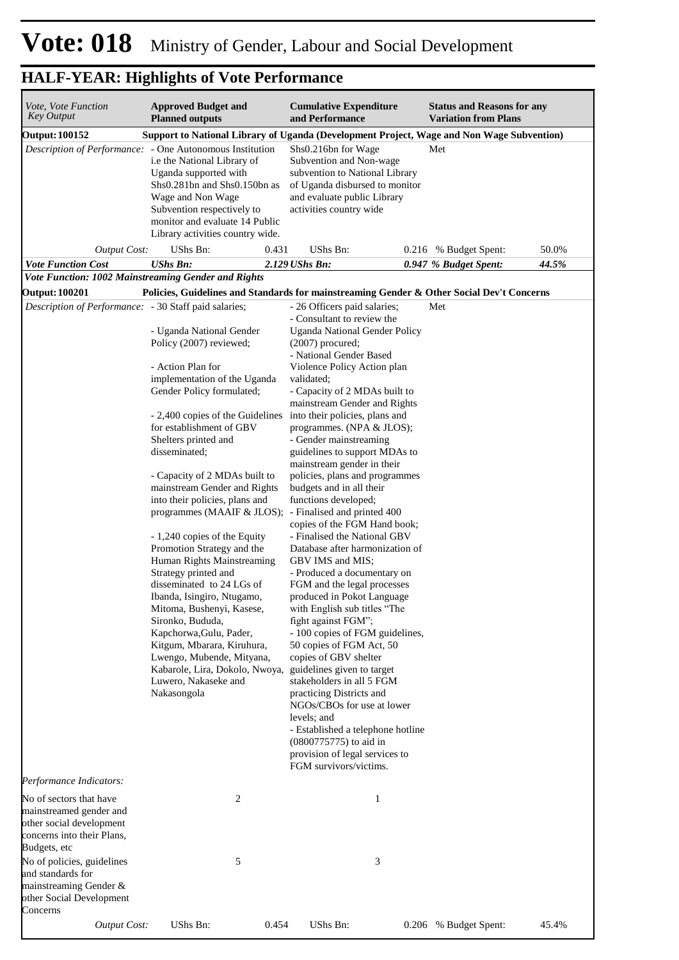| <i>Vote, Vote Function</i><br><b>Key Output</b>                                                                              | <b>Approved Budget and</b><br><b>Planned outputs</b>                                                                                                                                                                                                                                                                                                                                                                                                                                                                                               | <b>Cumulative Expenditure</b><br>and Performance                                                                                                                                                                                                                                                                                                                                                                                                                                                                                                                                                                                                    | <b>Status and Reasons for any</b><br><b>Variation from Plans</b>                          |
|------------------------------------------------------------------------------------------------------------------------------|----------------------------------------------------------------------------------------------------------------------------------------------------------------------------------------------------------------------------------------------------------------------------------------------------------------------------------------------------------------------------------------------------------------------------------------------------------------------------------------------------------------------------------------------------|-----------------------------------------------------------------------------------------------------------------------------------------------------------------------------------------------------------------------------------------------------------------------------------------------------------------------------------------------------------------------------------------------------------------------------------------------------------------------------------------------------------------------------------------------------------------------------------------------------------------------------------------------------|-------------------------------------------------------------------------------------------|
| <b>Output: 100152</b>                                                                                                        |                                                                                                                                                                                                                                                                                                                                                                                                                                                                                                                                                    |                                                                                                                                                                                                                                                                                                                                                                                                                                                                                                                                                                                                                                                     | Support to National Library of Uganda (Development Project, Wage and Non Wage Subvention) |
|                                                                                                                              | <i>Description of Performance:</i> - One Autonomous Institution<br>i.e the National Library of<br>Uganda supported with<br>Shs0.281bn and Shs0.150bn as<br>Wage and Non Wage<br>Subvention respectively to<br>monitor and evaluate 14 Public<br>Library activities country wide.                                                                                                                                                                                                                                                                   | Shs0.216bn for Wage<br>Subvention and Non-wage<br>subvention to National Library<br>of Uganda disbursed to monitor<br>and evaluate public Library<br>activities country wide                                                                                                                                                                                                                                                                                                                                                                                                                                                                        | Met                                                                                       |
| <b>Output Cost:</b>                                                                                                          | UShs Bn:<br>0.431                                                                                                                                                                                                                                                                                                                                                                                                                                                                                                                                  | UShs Bn:                                                                                                                                                                                                                                                                                                                                                                                                                                                                                                                                                                                                                                            | 50.0%<br>0.216 % Budget Spent:                                                            |
| <b>Vote Function Cost</b>                                                                                                    | <b>UShs Bn:</b>                                                                                                                                                                                                                                                                                                                                                                                                                                                                                                                                    | 2.129 UShs Bn:                                                                                                                                                                                                                                                                                                                                                                                                                                                                                                                                                                                                                                      | 44.5%<br>0.947 % Budget Spent:                                                            |
| Vote Function: 1002 Mainstreaming Gender and Rights                                                                          |                                                                                                                                                                                                                                                                                                                                                                                                                                                                                                                                                    |                                                                                                                                                                                                                                                                                                                                                                                                                                                                                                                                                                                                                                                     |                                                                                           |
| <b>Output: 100201</b>                                                                                                        | Policies, Guidelines and Standards for mainstreaming Gender & Other Social Dev't Concerns                                                                                                                                                                                                                                                                                                                                                                                                                                                          |                                                                                                                                                                                                                                                                                                                                                                                                                                                                                                                                                                                                                                                     |                                                                                           |
| Description of Performance: - 30 Staff paid salaries;                                                                        | - Uganda National Gender<br>Policy (2007) reviewed;<br>- Action Plan for<br>implementation of the Uganda<br>Gender Policy formulated;<br>- 2,400 copies of the Guidelines<br>for establishment of GBV<br>Shelters printed and<br>disseminated;<br>- Capacity of 2 MDAs built to                                                                                                                                                                                                                                                                    | - 26 Officers paid salaries;<br>- Consultant to review the<br>Uganda National Gender Policy<br>$(2007)$ procured;<br>- National Gender Based<br>Violence Policy Action plan<br>validated;<br>- Capacity of 2 MDAs built to<br>mainstream Gender and Rights<br>into their policies, plans and<br>programmes. (NPA & JLOS);<br>- Gender mainstreaming<br>guidelines to support MDAs to<br>mainstream gender in their<br>policies, plans and programmes                                                                                                                                                                                                | Met                                                                                       |
|                                                                                                                              | mainstream Gender and Rights<br>into their policies, plans and<br>programmes (MAAIF & JLOS); - Finalised and printed 400<br>- 1,240 copies of the Equity<br>Promotion Strategy and the<br>Human Rights Mainstreaming<br>Strategy printed and<br>disseminated to 24 LGs of<br>Ibanda, Isingiro, Ntugamo,<br>Mitoma, Bushenyi, Kasese,<br>Sironko, Bududa,<br>Kapchorwa, Gulu, Pader,<br>Kitgum, Mbarara, Kiruhura,<br>Lwengo, Mubende, Mityana,<br>Kabarole, Lira, Dokolo, Nwoya, guidelines given to target<br>Luwero, Nakaseke and<br>Nakasongola | budgets and in all their<br>functions developed;<br>copies of the FGM Hand book;<br>- Finalised the National GBV<br>Database after harmonization of<br>GBV IMS and MIS;<br>- Produced a documentary on<br>FGM and the legal processes<br>produced in Pokot Language<br>with English sub titles "The<br>fight against FGM";<br>- 100 copies of FGM guidelines,<br>50 copies of FGM Act, 50<br>copies of GBV shelter<br>stakeholders in all 5 FGM<br>practicing Districts and<br>NGOs/CBOs for use at lower<br>levels; and<br>- Established a telephone hotline<br>(0800775775) to aid in<br>provision of legal services to<br>FGM survivors/victims. |                                                                                           |
| Performance Indicators:                                                                                                      |                                                                                                                                                                                                                                                                                                                                                                                                                                                                                                                                                    |                                                                                                                                                                                                                                                                                                                                                                                                                                                                                                                                                                                                                                                     |                                                                                           |
| No of sectors that have<br>mainstreamed gender and<br>other social development<br>concerns into their Plans,<br>Budgets, etc | 2                                                                                                                                                                                                                                                                                                                                                                                                                                                                                                                                                  | $\mathbf{1}$                                                                                                                                                                                                                                                                                                                                                                                                                                                                                                                                                                                                                                        |                                                                                           |
| No of policies, guidelines<br>and standards for<br>mainstreaming Gender &<br>other Social Development<br>Concerns            | 5                                                                                                                                                                                                                                                                                                                                                                                                                                                                                                                                                  | 3                                                                                                                                                                                                                                                                                                                                                                                                                                                                                                                                                                                                                                                   |                                                                                           |
| <b>Output Cost:</b>                                                                                                          | UShs Bn:<br>0.454                                                                                                                                                                                                                                                                                                                                                                                                                                                                                                                                  | UShs Bn:                                                                                                                                                                                                                                                                                                                                                                                                                                                                                                                                                                                                                                            | 0.206 % Budget Spent:<br>45.4%                                                            |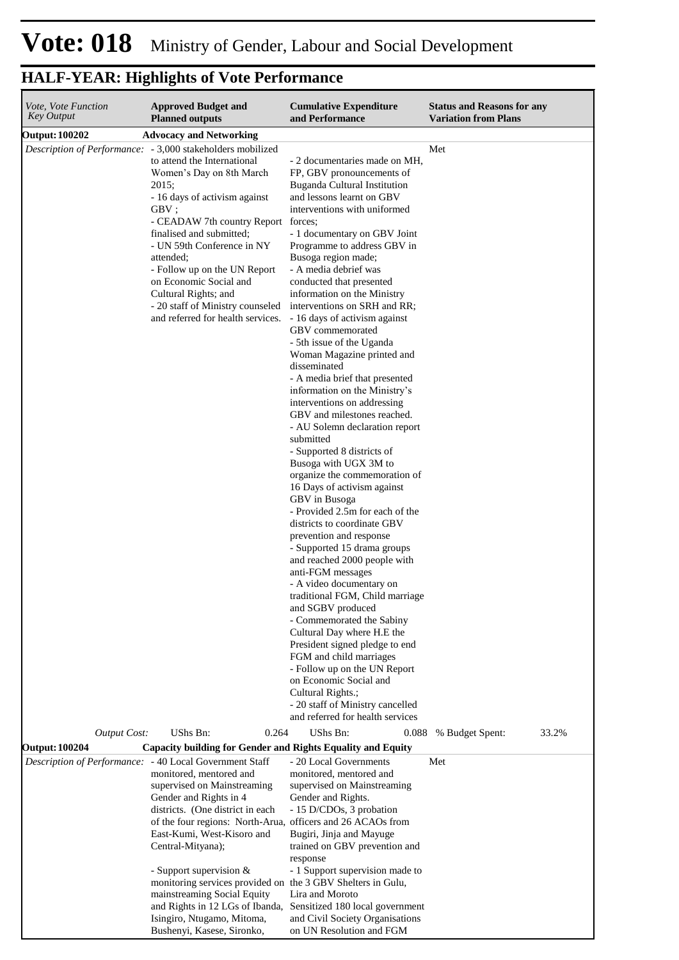| Vote, Vote Function<br><b>Key Output</b> | <b>Approved Budget and</b><br><b>Planned outputs</b>                                                                                                                                                                                                                                                                                                                                                                                                                                      | <b>Cumulative Expenditure</b><br>and Performance                                                                                                                                                                                                                                                                                                                                                                                                                                                                                                                                                                                                                                                                                                                                                                                                                                                                                                                                                                                                                                                                                                                                                                                                                                                                                          | <b>Status and Reasons for any</b><br><b>Variation from Plans</b> |
|------------------------------------------|-------------------------------------------------------------------------------------------------------------------------------------------------------------------------------------------------------------------------------------------------------------------------------------------------------------------------------------------------------------------------------------------------------------------------------------------------------------------------------------------|-------------------------------------------------------------------------------------------------------------------------------------------------------------------------------------------------------------------------------------------------------------------------------------------------------------------------------------------------------------------------------------------------------------------------------------------------------------------------------------------------------------------------------------------------------------------------------------------------------------------------------------------------------------------------------------------------------------------------------------------------------------------------------------------------------------------------------------------------------------------------------------------------------------------------------------------------------------------------------------------------------------------------------------------------------------------------------------------------------------------------------------------------------------------------------------------------------------------------------------------------------------------------------------------------------------------------------------------|------------------------------------------------------------------|
|                                          |                                                                                                                                                                                                                                                                                                                                                                                                                                                                                           |                                                                                                                                                                                                                                                                                                                                                                                                                                                                                                                                                                                                                                                                                                                                                                                                                                                                                                                                                                                                                                                                                                                                                                                                                                                                                                                                           |                                                                  |
| <b>Output: 100202</b>                    | <b>Advocacy and Networking</b><br><i>Description of Performance:</i> - 3,000 stakeholders mobilized<br>to attend the International<br>Women's Day on 8th March<br>2015;<br>- 16 days of activism against<br>GBV;<br>- CEADAW 7th country Report forces;<br>finalised and submitted;<br>- UN 59th Conference in NY<br>attended;<br>- Follow up on the UN Report<br>on Economic Social and<br>Cultural Rights; and<br>- 20 staff of Ministry counseled<br>and referred for health services. | - 2 documentaries made on MH,<br>FP, GBV pronouncements of<br>Buganda Cultural Institution<br>and lessons learnt on GBV<br>interventions with uniformed<br>- 1 documentary on GBV Joint<br>Programme to address GBV in<br>Busoga region made;<br>- A media debrief was<br>conducted that presented<br>information on the Ministry<br>interventions on SRH and RR;<br>- 16 days of activism against<br>GBV commemorated<br>- 5th issue of the Uganda<br>Woman Magazine printed and<br>disseminated<br>- A media brief that presented<br>information on the Ministry's<br>interventions on addressing<br>GBV and milestones reached.<br>- AU Solemn declaration report<br>submitted<br>- Supported 8 districts of<br>Busoga with UGX 3M to<br>organize the commemoration of<br>16 Days of activism against<br>GBV in Busoga<br>- Provided 2.5m for each of the<br>districts to coordinate GBV<br>prevention and response<br>- Supported 15 drama groups<br>and reached 2000 people with<br>anti-FGM messages<br>- A video documentary on<br>traditional FGM, Child marriage<br>and SGBV produced<br>- Commemorated the Sabiny<br>Cultural Day where H.E the<br>President signed pledge to end<br>FGM and child marriages<br>- Follow up on the UN Report<br>on Economic Social and<br>Cultural Rights.;<br>- 20 staff of Ministry cancelled | Met                                                              |
|                                          |                                                                                                                                                                                                                                                                                                                                                                                                                                                                                           | and referred for health services                                                                                                                                                                                                                                                                                                                                                                                                                                                                                                                                                                                                                                                                                                                                                                                                                                                                                                                                                                                                                                                                                                                                                                                                                                                                                                          |                                                                  |
| <b>Output Cost:</b>                      | UShs Bn:<br>0.264                                                                                                                                                                                                                                                                                                                                                                                                                                                                         | UShs Bn:<br>0.088                                                                                                                                                                                                                                                                                                                                                                                                                                                                                                                                                                                                                                                                                                                                                                                                                                                                                                                                                                                                                                                                                                                                                                                                                                                                                                                         | 33.2%<br>% Budget Spent:                                         |
| <b>Output: 100204</b>                    | Capacity building for Gender and Rights Equality and Equity<br>Description of Performance: - 40 Local Government Staff                                                                                                                                                                                                                                                                                                                                                                    | - 20 Local Governments                                                                                                                                                                                                                                                                                                                                                                                                                                                                                                                                                                                                                                                                                                                                                                                                                                                                                                                                                                                                                                                                                                                                                                                                                                                                                                                    | Met                                                              |
|                                          | monitored, mentored and<br>supervised on Mainstreaming<br>Gender and Rights in 4<br>districts. (One district in each<br>of the four regions: North-Arua, officers and 26 ACAOs from<br>East-Kumi, West-Kisoro and<br>Central-Mityana);<br>- Support supervision $&$                                                                                                                                                                                                                       | monitored, mentored and<br>supervised on Mainstreaming<br>Gender and Rights.<br>- 15 D/CDOs, 3 probation<br>Bugiri, Jinja and Mayuge<br>trained on GBV prevention and<br>response<br>- 1 Support supervision made to                                                                                                                                                                                                                                                                                                                                                                                                                                                                                                                                                                                                                                                                                                                                                                                                                                                                                                                                                                                                                                                                                                                      |                                                                  |
|                                          | monitoring services provided on the 3 GBV Shelters in Gulu,<br>mainstreaming Social Equity<br>and Rights in 12 LGs of Ibanda,<br>Isingiro, Ntugamo, Mitoma,<br>Bushenyi, Kasese, Sironko,                                                                                                                                                                                                                                                                                                 | Lira and Moroto<br>Sensitized 180 local government<br>and Civil Society Organisations<br>on UN Resolution and FGM                                                                                                                                                                                                                                                                                                                                                                                                                                                                                                                                                                                                                                                                                                                                                                                                                                                                                                                                                                                                                                                                                                                                                                                                                         |                                                                  |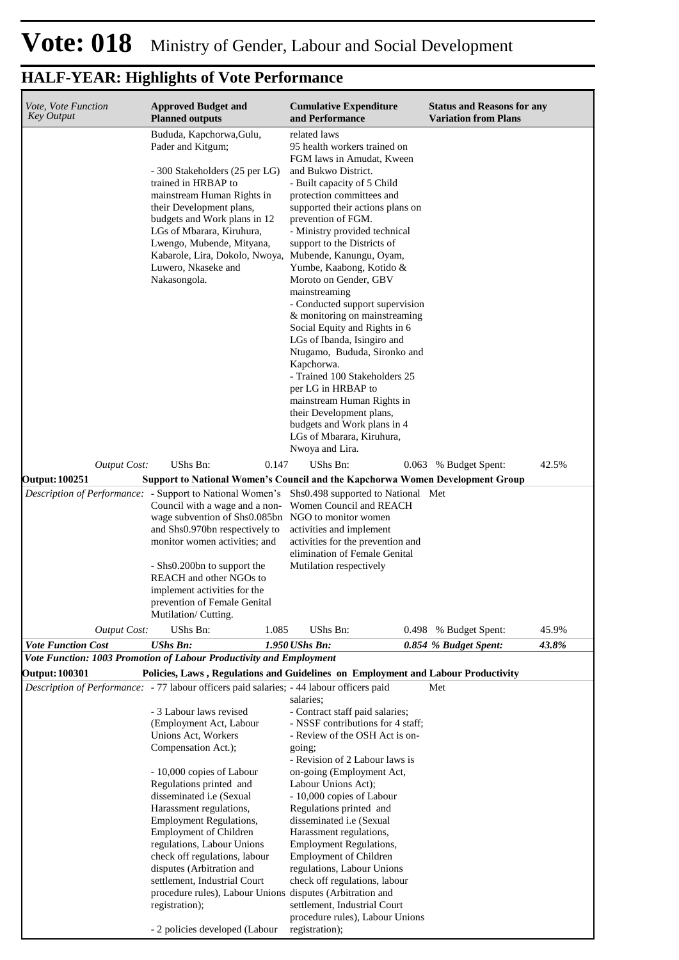| Vote, Vote Function<br><b>Key Output</b>     | <b>Approved Budget and</b><br><b>Planned outputs</b>                                                                                                                                                                                                                                                                                                                                                                                                                                                 | <b>Cumulative Expenditure</b><br>and Performance                                                                                                                                                                                                                                                                                                                                                                                                                                                                                                                                                                                                                                                                                               | <b>Status and Reasons for any</b><br><b>Variation from Plans</b> |
|----------------------------------------------|------------------------------------------------------------------------------------------------------------------------------------------------------------------------------------------------------------------------------------------------------------------------------------------------------------------------------------------------------------------------------------------------------------------------------------------------------------------------------------------------------|------------------------------------------------------------------------------------------------------------------------------------------------------------------------------------------------------------------------------------------------------------------------------------------------------------------------------------------------------------------------------------------------------------------------------------------------------------------------------------------------------------------------------------------------------------------------------------------------------------------------------------------------------------------------------------------------------------------------------------------------|------------------------------------------------------------------|
|                                              | Bududa, Kapchorwa, Gulu,<br>Pader and Kitgum;<br>- 300 Stakeholders (25 per LG)<br>trained in HRBAP to<br>mainstream Human Rights in<br>their Development plans,<br>budgets and Work plans in 12<br>LGs of Mbarara, Kiruhura,<br>Lwengo, Mubende, Mityana,<br>Kabarole, Lira, Dokolo, Nwoya, Mubende, Kanungu, Oyam,<br>Luwero, Nkaseke and<br>Nakasongola.                                                                                                                                          | related laws<br>95 health workers trained on<br>FGM laws in Amudat, Kween<br>and Bukwo District.<br>- Built capacity of 5 Child<br>protection committees and<br>supported their actions plans on<br>prevention of FGM.<br>- Ministry provided technical<br>support to the Districts of<br>Yumbe, Kaabong, Kotido &<br>Moroto on Gender, GBV<br>mainstreaming<br>- Conducted support supervision<br>& monitoring on mainstreaming<br>Social Equity and Rights in 6<br>LGs of Ibanda, Isingiro and<br>Ntugamo, Bududa, Sironko and<br>Kapchorwa.<br>- Trained 100 Stakeholders 25<br>per LG in HRBAP to<br>mainstream Human Rights in<br>their Development plans,<br>budgets and Work plans in 4<br>LGs of Mbarara, Kiruhura,<br>Nwoya and Lira. |                                                                  |
| <b>Output Cost:</b><br><b>Output: 100251</b> | UShs Bn:<br>0.147<br><b>Support to National Women's Council and the Kapchorwa Women Development Group</b>                                                                                                                                                                                                                                                                                                                                                                                            | UShs Bn:                                                                                                                                                                                                                                                                                                                                                                                                                                                                                                                                                                                                                                                                                                                                       | 42.5%<br>0.063 % Budget Spent:                                   |
|                                              | Description of Performance: - Support to National Women's<br>Council with a wage and a non-<br>wage subvention of Shs0.085bn NGO to monitor women<br>and Shs0.970bn respectively to<br>monitor women activities; and<br>- Shs0.200bn to support the<br>REACH and other NGOs to<br>implement activities for the<br>prevention of Female Genital<br>Mutilation/Cutting.                                                                                                                                | Shs0.498 supported to National Met<br>Women Council and REACH<br>activities and implement<br>activities for the prevention and<br>elimination of Female Genital<br>Mutilation respectively                                                                                                                                                                                                                                                                                                                                                                                                                                                                                                                                                     |                                                                  |
| <b>Output Cost:</b>                          | UShs Bn:<br>1.085                                                                                                                                                                                                                                                                                                                                                                                                                                                                                    | UShs Bn:                                                                                                                                                                                                                                                                                                                                                                                                                                                                                                                                                                                                                                                                                                                                       | 45.9%<br>0.498 % Budget Spent:                                   |
| <b>Vote Function Cost</b>                    | <b>UShs Bn:</b>                                                                                                                                                                                                                                                                                                                                                                                                                                                                                      | $1.950$ UShs Bn:                                                                                                                                                                                                                                                                                                                                                                                                                                                                                                                                                                                                                                                                                                                               | 43.8%<br>0.854 % Budget Spent:                                   |
|                                              | Vote Function: 1003 Promotion of Labour Productivity and Employment                                                                                                                                                                                                                                                                                                                                                                                                                                  |                                                                                                                                                                                                                                                                                                                                                                                                                                                                                                                                                                                                                                                                                                                                                |                                                                  |
| Output: 100301                               | Policies, Laws, Regulations and Guidelines on Employment and Labour Productivity<br>Description of Performance: - 77 labour officers paid salaries; - 44 labour officers paid                                                                                                                                                                                                                                                                                                                        |                                                                                                                                                                                                                                                                                                                                                                                                                                                                                                                                                                                                                                                                                                                                                | Met                                                              |
|                                              | - 3 Labour laws revised<br>(Employment Act, Labour<br>Unions Act, Workers<br>Compensation Act.);<br>- 10,000 copies of Labour<br>Regulations printed and<br>disseminated <i>i.e</i> (Sexual<br>Harassment regulations,<br><b>Employment Regulations,</b><br><b>Employment of Children</b><br>regulations, Labour Unions<br>check off regulations, labour<br>disputes (Arbitration and<br>settlement, Industrial Court<br>procedure rules), Labour Unions disputes (Arbitration and<br>registration); | salaries;<br>- Contract staff paid salaries;<br>- NSSF contributions for 4 staff;<br>- Review of the OSH Act is on-<br>going;<br>- Revision of 2 Labour laws is<br>on-going (Employment Act,<br>Labour Unions Act);<br>- 10,000 copies of Labour<br>Regulations printed and<br>disseminated i.e (Sexual<br>Harassment regulations,<br><b>Employment Regulations,</b><br><b>Employment of Children</b><br>regulations, Labour Unions<br>check off regulations, labour<br>settlement, Industrial Court<br>procedure rules), Labour Unions                                                                                                                                                                                                        |                                                                  |
|                                              | - 2 policies developed (Labour                                                                                                                                                                                                                                                                                                                                                                                                                                                                       | registration);                                                                                                                                                                                                                                                                                                                                                                                                                                                                                                                                                                                                                                                                                                                                 |                                                                  |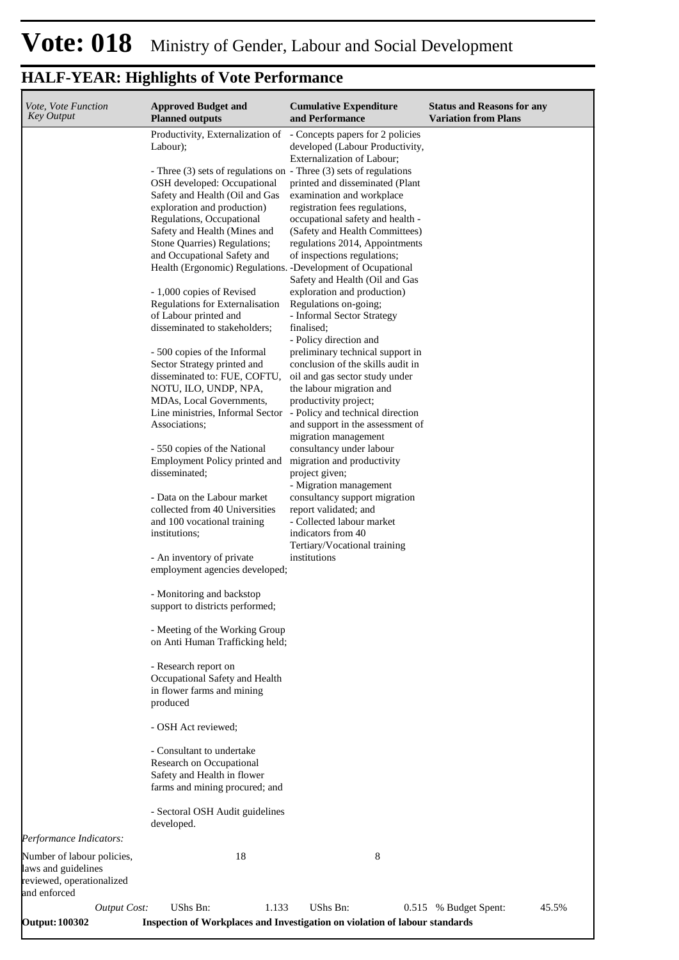| Vote, Vote Function<br><b>Key Output</b>                                                       | <b>Approved Budget and</b><br><b>Planned outputs</b>                                                                                | <b>Cumulative Expenditure</b><br>and Performance                                                                                    | <b>Status and Reasons for any</b><br><b>Variation from Plans</b> |
|------------------------------------------------------------------------------------------------|-------------------------------------------------------------------------------------------------------------------------------------|-------------------------------------------------------------------------------------------------------------------------------------|------------------------------------------------------------------|
|                                                                                                | Productivity, Externalization of<br>Labour);                                                                                        | - Concepts papers for 2 policies<br>developed (Labour Productivity,<br>Externalization of Labour;                                   |                                                                  |
|                                                                                                | - Three (3) sets of regulations on - Three (3) sets of regulations<br>OSH developed: Occupational<br>Safety and Health (Oil and Gas | printed and disseminated (Plant<br>examination and workplace                                                                        |                                                                  |
|                                                                                                | exploration and production)<br>Regulations, Occupational<br>Safety and Health (Mines and                                            | registration fees regulations,<br>occupational safety and health -<br>(Safety and Health Committees)                                |                                                                  |
|                                                                                                | Stone Quarries) Regulations;<br>and Occupational Safety and<br>Health (Ergonomic) Regulations. -Development of Ocupational          | regulations 2014, Appointments<br>of inspections regulations;<br>Safety and Health (Oil and Gas                                     |                                                                  |
|                                                                                                | - 1,000 copies of Revised<br>Regulations for Externalisation<br>of Labour printed and<br>disseminated to stakeholders;              | exploration and production)<br>Regulations on-going;<br>- Informal Sector Strategy<br>finalised;<br>- Policy direction and          |                                                                  |
|                                                                                                | - 500 copies of the Informal<br>Sector Strategy printed and<br>disseminated to: FUE, COFTU,<br>NOTU, ILO, UNDP, NPA,                | preliminary technical support in<br>conclusion of the skills audit in<br>oil and gas sector study under<br>the labour migration and |                                                                  |
|                                                                                                | MDAs, Local Governments,<br>Line ministries, Informal Sector<br>Associations;                                                       | productivity project;<br>- Policy and technical direction<br>and support in the assessment of<br>migration management               |                                                                  |
|                                                                                                | - 550 copies of the National<br>Employment Policy printed and<br>disseminated;                                                      | consultancy under labour<br>migration and productivity<br>project given;<br>- Migration management                                  |                                                                  |
|                                                                                                | - Data on the Labour market<br>collected from 40 Universities<br>and 100 vocational training<br>institutions;                       | consultancy support migration<br>report validated; and<br>- Collected labour market<br>indicators from 40                           |                                                                  |
|                                                                                                | - An inventory of private<br>employment agencies developed;                                                                         | Tertiary/Vocational training<br>institutions                                                                                        |                                                                  |
|                                                                                                | - Monitoring and backstop<br>support to districts performed;                                                                        |                                                                                                                                     |                                                                  |
|                                                                                                | - Meeting of the Working Group<br>on Anti Human Trafficking held;                                                                   |                                                                                                                                     |                                                                  |
|                                                                                                | - Research report on<br>Occupational Safety and Health<br>in flower farms and mining<br>produced                                    |                                                                                                                                     |                                                                  |
|                                                                                                | - OSH Act reviewed;                                                                                                                 |                                                                                                                                     |                                                                  |
|                                                                                                | - Consultant to undertake<br>Research on Occupational<br>Safety and Health in flower<br>farms and mining procured; and              |                                                                                                                                     |                                                                  |
|                                                                                                | - Sectoral OSH Audit guidelines<br>developed.                                                                                       |                                                                                                                                     |                                                                  |
| Performance Indicators:                                                                        |                                                                                                                                     |                                                                                                                                     |                                                                  |
| Number of labour policies,<br>laws and guidelines<br>reviewed, operationalized<br>and enforced | 18                                                                                                                                  | 8                                                                                                                                   |                                                                  |
| <b>Output Cost:</b><br><b>Output: 100302</b>                                                   | UShs Bn:<br>1.133<br>Inspection of Workplaces and Investigation on violation of labour standards                                    | UShs Bn:                                                                                                                            | 0.515 % Budget Spent:<br>45.5%                                   |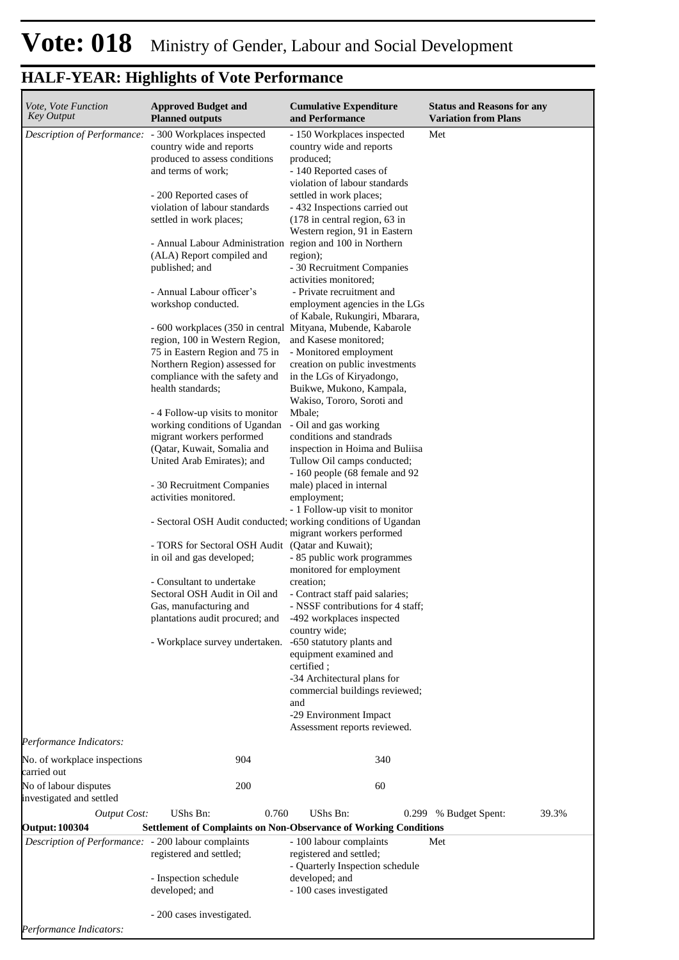| <b>Status and Reasons for any</b> |
|-----------------------------------|
|                                   |
|                                   |
|                                   |
|                                   |
|                                   |
| 39.3%                             |
|                                   |
|                                   |
|                                   |

*Performance Indicators:*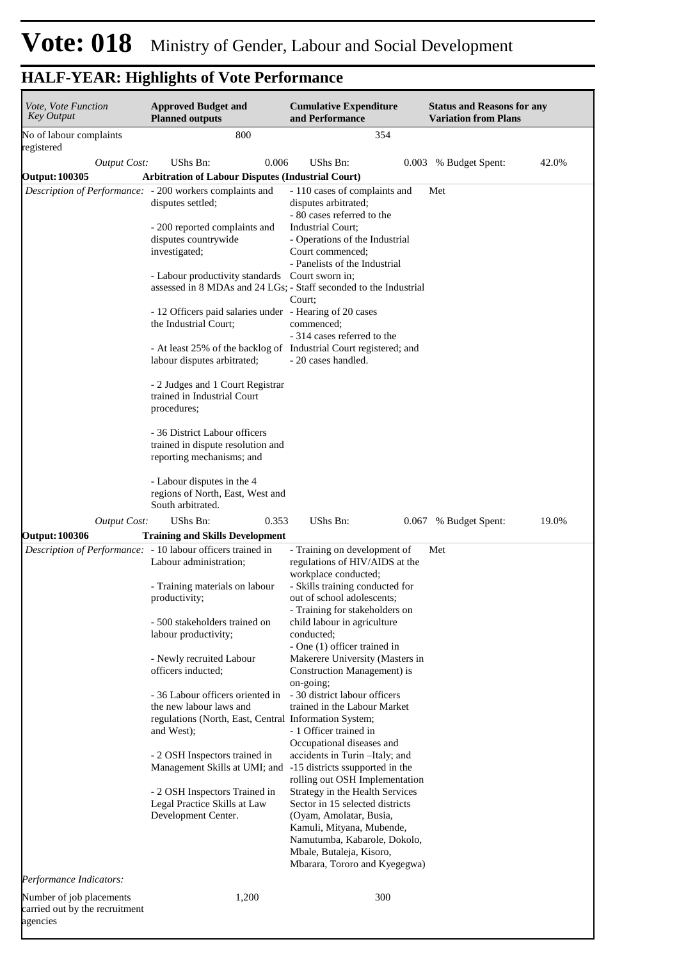| Vote, Vote Function<br><b>Key Output</b>                               | <b>Approved Budget and</b><br><b>Planned outputs</b>                                                                                                                                                                                                                                                                                                                                                                                                                                                                                                                                                                                                      | <b>Cumulative Expenditure</b><br>and Performance                                                                                                                                                                                                                                                                                                                                                                                                                                                                                                                                                                                                                                                                                                                                                                 | <b>Status and Reasons for any</b><br><b>Variation from Plans</b> |       |
|------------------------------------------------------------------------|-----------------------------------------------------------------------------------------------------------------------------------------------------------------------------------------------------------------------------------------------------------------------------------------------------------------------------------------------------------------------------------------------------------------------------------------------------------------------------------------------------------------------------------------------------------------------------------------------------------------------------------------------------------|------------------------------------------------------------------------------------------------------------------------------------------------------------------------------------------------------------------------------------------------------------------------------------------------------------------------------------------------------------------------------------------------------------------------------------------------------------------------------------------------------------------------------------------------------------------------------------------------------------------------------------------------------------------------------------------------------------------------------------------------------------------------------------------------------------------|------------------------------------------------------------------|-------|
| No of labour complaints<br>registered                                  | 800                                                                                                                                                                                                                                                                                                                                                                                                                                                                                                                                                                                                                                                       | 354                                                                                                                                                                                                                                                                                                                                                                                                                                                                                                                                                                                                                                                                                                                                                                                                              |                                                                  |       |
| <b>Output Cost:</b>                                                    | UShs Bn:<br>0.006                                                                                                                                                                                                                                                                                                                                                                                                                                                                                                                                                                                                                                         | UShs Bn:                                                                                                                                                                                                                                                                                                                                                                                                                                                                                                                                                                                                                                                                                                                                                                                                         | 0.003 % Budget Spent:                                            | 42.0% |
| <b>Output: 100305</b>                                                  | <b>Arbitration of Labour Disputes (Industrial Court)</b>                                                                                                                                                                                                                                                                                                                                                                                                                                                                                                                                                                                                  |                                                                                                                                                                                                                                                                                                                                                                                                                                                                                                                                                                                                                                                                                                                                                                                                                  |                                                                  |       |
|                                                                        | Description of Performance: - 200 workers complaints and<br>disputes settled;<br>- 200 reported complaints and<br>disputes countrywide<br>investigated;<br>- Labour productivity standards Court sworn in;<br>- 12 Officers paid salaries under - Hearing of 20 cases<br>the Industrial Court;<br>- At least 25% of the backlog of Industrial Court registered; and<br>labour disputes arbitrated;<br>- 2 Judges and 1 Court Registrar<br>trained in Industrial Court<br>procedures;<br>- 36 District Labour officers<br>trained in dispute resolution and<br>reporting mechanisms; and<br>- Labour disputes in the 4<br>regions of North, East, West and | - 110 cases of complaints and<br>disputes arbitrated;<br>- 80 cases referred to the<br>Industrial Court;<br>- Operations of the Industrial<br>Court commenced;<br>- Panelists of the Industrial<br>assessed in 8 MDAs and 24 LGs; - Staff seconded to the Industrial<br>Court;<br>commenced;<br>- 314 cases referred to the<br>- 20 cases handled.                                                                                                                                                                                                                                                                                                                                                                                                                                                               | Met                                                              |       |
|                                                                        | South arbitrated.                                                                                                                                                                                                                                                                                                                                                                                                                                                                                                                                                                                                                                         |                                                                                                                                                                                                                                                                                                                                                                                                                                                                                                                                                                                                                                                                                                                                                                                                                  |                                                                  |       |
| <b>Output Cost:</b>                                                    | UShs Bn:<br>0.353                                                                                                                                                                                                                                                                                                                                                                                                                                                                                                                                                                                                                                         | UShs Bn:                                                                                                                                                                                                                                                                                                                                                                                                                                                                                                                                                                                                                                                                                                                                                                                                         | 0.067 % Budget Spent:                                            | 19.0% |
| <b>Output: 100306</b>                                                  | <b>Training and Skills Development</b>                                                                                                                                                                                                                                                                                                                                                                                                                                                                                                                                                                                                                    |                                                                                                                                                                                                                                                                                                                                                                                                                                                                                                                                                                                                                                                                                                                                                                                                                  |                                                                  |       |
|                                                                        | Description of Performance: - 10 labour officers trained in<br>Labour administration;<br>- Training materials on labour<br>productivity;<br>- 500 stakeholders trained on<br>labour productivity;<br>- Newly recruited Labour<br>officers inducted;<br>- 36 Labour officers oriented in<br>the new labour laws and<br>regulations (North, East, Central Information System;<br>and West);<br>- 2 OSH Inspectors trained in<br>Management Skills at UMI; and<br>- 2 OSH Inspectors Trained in<br>Legal Practice Skills at Law<br>Development Center.                                                                                                       | - Training on development of<br>regulations of HIV/AIDS at the<br>workplace conducted;<br>- Skills training conducted for<br>out of school adolescents;<br>- Training for stakeholders on<br>child labour in agriculture<br>conducted;<br>- One (1) officer trained in<br>Makerere University (Masters in<br>Construction Management) is<br>on-going;<br>- 30 district labour officers<br>trained in the Labour Market<br>- 1 Officer trained in<br>Occupational diseases and<br>accidents in Turin - Italy; and<br>-15 districts ssupported in the<br>rolling out OSH Implementation<br>Strategy in the Health Services<br>Sector in 15 selected districts<br>(Oyam, Amolatar, Busia,<br>Kamuli, Mityana, Mubende,<br>Namutumba, Kabarole, Dokolo,<br>Mbale, Butaleja, Kisoro,<br>Mbarara, Tororo and Kyegegwa) | Met                                                              |       |
| Performance Indicators:                                                |                                                                                                                                                                                                                                                                                                                                                                                                                                                                                                                                                                                                                                                           |                                                                                                                                                                                                                                                                                                                                                                                                                                                                                                                                                                                                                                                                                                                                                                                                                  |                                                                  |       |
| Number of job placements<br>carried out by the recruitment<br>agencies | 1,200                                                                                                                                                                                                                                                                                                                                                                                                                                                                                                                                                                                                                                                     | 300                                                                                                                                                                                                                                                                                                                                                                                                                                                                                                                                                                                                                                                                                                                                                                                                              |                                                                  |       |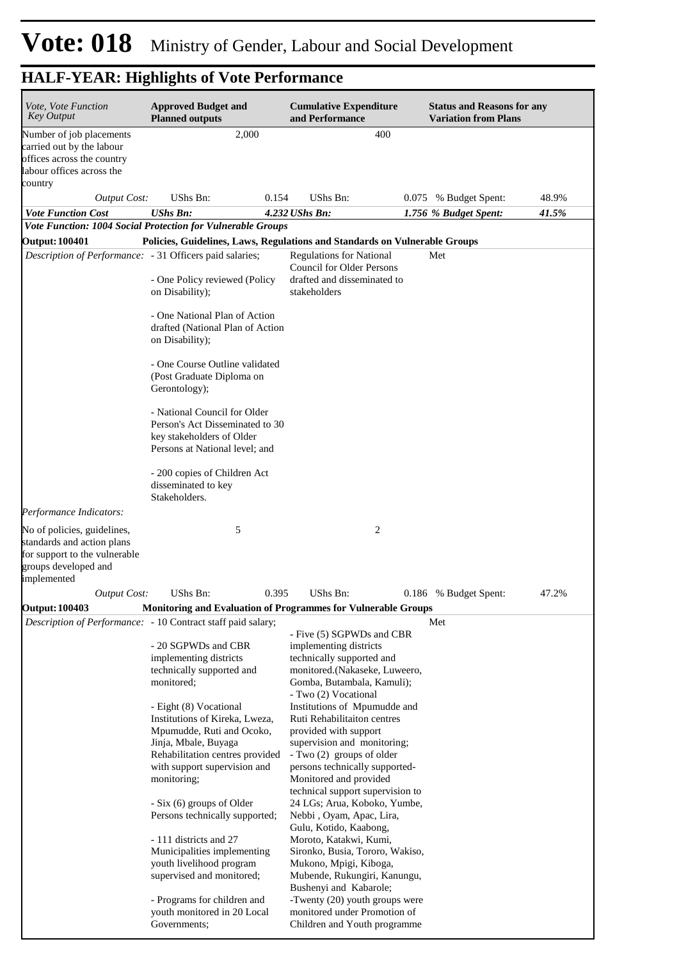**Status and Reasons for any Variation from Plans**

| <b>HALF-YEAR: Highlights of Vote Performance</b><br><b>Cumulative Expenditure</b><br><b>Approved Budget and</b><br><i>Vote, Vote Function</i><br><i>Key Output</i><br><b>Planned outputs</b><br>and Performance |       |     |
|-----------------------------------------------------------------------------------------------------------------------------------------------------------------------------------------------------------------|-------|-----|
|                                                                                                                                                                                                                 |       |     |
| Number of job placements                                                                                                                                                                                        | 2.000 | 400 |

| Number of job placements                                                                                                          | 2,000                                                                                        | 400                                                                 |                       |       |
|-----------------------------------------------------------------------------------------------------------------------------------|----------------------------------------------------------------------------------------------|---------------------------------------------------------------------|-----------------------|-------|
| carried out by the labour                                                                                                         |                                                                                              |                                                                     |                       |       |
| offices across the country                                                                                                        |                                                                                              |                                                                     |                       |       |
| labour offices across the                                                                                                         |                                                                                              |                                                                     |                       |       |
| country                                                                                                                           |                                                                                              |                                                                     |                       |       |
| <b>Output Cost:</b>                                                                                                               | UShs Bn:<br>0.154                                                                            | UShs Bn:                                                            | 0.075 % Budget Spent: | 48.9% |
| <b>Vote Function Cost</b>                                                                                                         | <b>UShs Bn:</b>                                                                              | $4.232$ UShs Bn:                                                    | 1.756 % Budget Spent: | 41.5% |
|                                                                                                                                   | Vote Function: 1004 Social Protection for Vulnerable Groups                                  |                                                                     |                       |       |
| <b>Output: 100401</b>                                                                                                             | Policies, Guidelines, Laws, Regulations and Standards on Vulnerable Groups                   |                                                                     |                       |       |
| Description of Performance: - 31 Officers paid salaries;                                                                          |                                                                                              | <b>Regulations for National</b><br><b>Council for Older Persons</b> | Met                   |       |
|                                                                                                                                   | - One Policy reviewed (Policy<br>on Disability);                                             | drafted and disseminated to<br>stakeholders                         |                       |       |
|                                                                                                                                   | - One National Plan of Action<br>drafted (National Plan of Action<br>on Disability);         |                                                                     |                       |       |
|                                                                                                                                   | - One Course Outline validated<br>(Post Graduate Diploma on<br>Gerontology);                 |                                                                     |                       |       |
|                                                                                                                                   | - National Council for Older<br>Person's Act Disseminated to 30<br>key stakeholders of Older |                                                                     |                       |       |
|                                                                                                                                   | Persons at National level; and<br>- 200 copies of Children Act                               |                                                                     |                       |       |
|                                                                                                                                   | disseminated to key<br>Stakeholders.                                                         |                                                                     |                       |       |
| Performance Indicators:                                                                                                           |                                                                                              |                                                                     |                       |       |
| No of policies, guidelines,<br>standards and action plans<br>for support to the vulnerable<br>groups developed and<br>implemented | 5                                                                                            | 2                                                                   |                       |       |
| <b>Output Cost:</b>                                                                                                               | UShs Bn:<br>0.395                                                                            | <b>UShs Bn:</b>                                                     | 0.186 % Budget Spent: | 47.2% |
| <b>Output: 100403</b>                                                                                                             | Monitoring and Evaluation of Programmes for Vulnerable Groups                                |                                                                     |                       |       |
|                                                                                                                                   | Description of Performance: - 10 Contract staff paid salary;                                 |                                                                     | Met                   |       |
|                                                                                                                                   |                                                                                              | - Five (5) SGPWDs and CBR                                           |                       |       |
|                                                                                                                                   | - 20 SGPWDs and CBR                                                                          | implementing districts                                              |                       |       |
|                                                                                                                                   | implementing districts                                                                       | technically supported and                                           |                       |       |
|                                                                                                                                   | technically supported and<br>monitored;                                                      | monitored.(Nakaseke, Luweero,<br>Gomba, Butambala, Kamuli);         |                       |       |
|                                                                                                                                   |                                                                                              | - Two (2) Vocational                                                |                       |       |
|                                                                                                                                   | - Eight (8) Vocational                                                                       | Institutions of Mpumudde and                                        |                       |       |
|                                                                                                                                   | Institutions of Kireka, Lweza,<br>Mpumudde, Ruti and Ocoko,                                  | Ruti Rehabilitaiton centres<br>provided with support                |                       |       |
|                                                                                                                                   | Jinja, Mbale, Buyaga                                                                         | supervision and monitoring;                                         |                       |       |
|                                                                                                                                   | Rehabilitation centres provided                                                              | - Two (2) groups of older                                           |                       |       |
|                                                                                                                                   | with support supervision and                                                                 | persons technically supported-                                      |                       |       |
|                                                                                                                                   | monitoring;                                                                                  | Monitored and provided<br>technical support supervision to          |                       |       |
|                                                                                                                                   | - Six (6) groups of Older<br>Persons technically supported;                                  | 24 LGs; Arua, Koboko, Yumbe,<br>Nebbi, Oyam, Apac, Lira,            |                       |       |
|                                                                                                                                   |                                                                                              | Gulu, Kotido, Kaabong,                                              |                       |       |
|                                                                                                                                   | - 111 districts and 27<br>Municipalities implementing                                        | Moroto, Katakwi, Kumi,<br>Sironko, Busia, Tororo, Wakiso,           |                       |       |
|                                                                                                                                   | youth livelihood program                                                                     | Mukono, Mpigi, Kiboga,                                              |                       |       |
|                                                                                                                                   | supervised and monitored;                                                                    | Mubende, Rukungiri, Kanungu,<br>Bushenyi and Kabarole;              |                       |       |
|                                                                                                                                   | - Programs for children and                                                                  | -Twenty (20) youth groups were<br>monitored under Promotion of      |                       |       |
|                                                                                                                                   | youth monitored in 20 Local<br>Governments;                                                  | Children and Youth programme                                        |                       |       |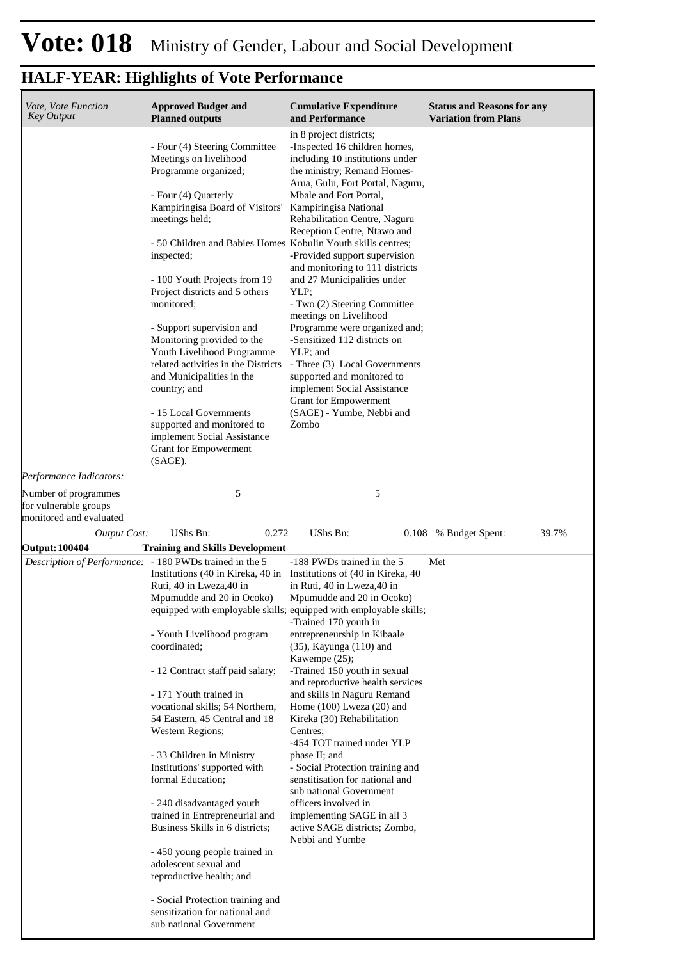| Vote, Vote Function<br><b>Key Output</b>                                                | <b>Approved Budget and</b><br><b>Planned outputs</b>                                                                                                                                                                                                                                                                                                                                                                                                                                                                                                                                                                                                                                                                                                                                                                        | <b>Cumulative Expenditure</b><br>and Performance                                                                                                                                                                                                                                                                                                                                                                                                                                                                                                                                                                                     | <b>Status and Reasons for any</b><br><b>Variation from Plans</b> |
|-----------------------------------------------------------------------------------------|-----------------------------------------------------------------------------------------------------------------------------------------------------------------------------------------------------------------------------------------------------------------------------------------------------------------------------------------------------------------------------------------------------------------------------------------------------------------------------------------------------------------------------------------------------------------------------------------------------------------------------------------------------------------------------------------------------------------------------------------------------------------------------------------------------------------------------|--------------------------------------------------------------------------------------------------------------------------------------------------------------------------------------------------------------------------------------------------------------------------------------------------------------------------------------------------------------------------------------------------------------------------------------------------------------------------------------------------------------------------------------------------------------------------------------------------------------------------------------|------------------------------------------------------------------|
|                                                                                         | - Four (4) Steering Committee<br>Meetings on livelihood<br>Programme organized;<br>- Four (4) Quarterly<br>Kampiringisa Board of Visitors'<br>meetings held;<br>- 50 Children and Babies Homes Kobulin Youth skills centres;<br>inspected;                                                                                                                                                                                                                                                                                                                                                                                                                                                                                                                                                                                  | in 8 project districts;<br>-Inspected 16 children homes,<br>including 10 institutions under<br>the ministry; Remand Homes-<br>Arua, Gulu, Fort Portal, Naguru,<br>Mbale and Fort Portal,<br>Kampiringisa National<br>Rehabilitation Centre, Naguru<br>Reception Centre, Ntawo and<br>-Provided support supervision                                                                                                                                                                                                                                                                                                                   |                                                                  |
|                                                                                         | - 100 Youth Projects from 19<br>Project districts and 5 others<br>monitored;                                                                                                                                                                                                                                                                                                                                                                                                                                                                                                                                                                                                                                                                                                                                                | and monitoring to 111 districts<br>and 27 Municipalities under<br>YLP;<br>- Two (2) Steering Committee                                                                                                                                                                                                                                                                                                                                                                                                                                                                                                                               |                                                                  |
|                                                                                         | - Support supervision and<br>Monitoring provided to the<br>Youth Livelihood Programme<br>related activities in the Districts<br>and Municipalities in the<br>country; and<br>- 15 Local Governments<br>supported and monitored to<br>implement Social Assistance<br>Grant for Empowerment                                                                                                                                                                                                                                                                                                                                                                                                                                                                                                                                   | meetings on Livelihood<br>Programme were organized and;<br>-Sensitized 112 districts on<br>YLP; and<br>- Three (3) Local Governments<br>supported and monitored to<br>implement Social Assistance<br>Grant for Empowerment<br>(SAGE) - Yumbe, Nebbi and<br>Zombo                                                                                                                                                                                                                                                                                                                                                                     |                                                                  |
| Performance Indicators:                                                                 | (SAGE).                                                                                                                                                                                                                                                                                                                                                                                                                                                                                                                                                                                                                                                                                                                                                                                                                     |                                                                                                                                                                                                                                                                                                                                                                                                                                                                                                                                                                                                                                      |                                                                  |
| Number of programmes<br>for vulnerable groups<br>monitored and evaluated                | 5                                                                                                                                                                                                                                                                                                                                                                                                                                                                                                                                                                                                                                                                                                                                                                                                                           | 5                                                                                                                                                                                                                                                                                                                                                                                                                                                                                                                                                                                                                                    |                                                                  |
| <b>Output Cost:</b>                                                                     | UShs Bn:<br>0.272                                                                                                                                                                                                                                                                                                                                                                                                                                                                                                                                                                                                                                                                                                                                                                                                           | UShs Bn:<br>0.108                                                                                                                                                                                                                                                                                                                                                                                                                                                                                                                                                                                                                    | 39.7%<br>% Budget Spent:                                         |
| <b>Output: 100404</b><br><i>Description of Performance:</i> - 180 PWDs trained in the 5 | <b>Training and Skills Development</b><br>Institutions (40 in Kireka, 40 in Institutions of (40 in Kireka, 40)<br>Ruti, 40 in Lweza, 40 in<br>Mpumudde and 20 in Ocoko)<br>equipped with employable skills; equipped with employable skills;<br>- Youth Livelihood program<br>coordinated;<br>- 12 Contract staff paid salary;<br>- 171 Youth trained in<br>vocational skills; 54 Northern,<br>54 Eastern, 45 Central and 18<br>Western Regions;<br>- 33 Children in Ministry<br>Institutions' supported with<br>formal Education;<br>- 240 disadvantaged youth<br>trained in Entrepreneurial and<br>Business Skills in 6 districts;<br>- 450 young people trained in<br>adolescent sexual and<br>reproductive health; and<br>- Social Protection training and<br>sensitization for national and<br>sub national Government | -188 PWDs trained in the 5<br>in Ruti, 40 in Lweza, 40 in<br>Mpumudde and 20 in Ocoko)<br>-Trained 170 youth in<br>entrepreneurship in Kibaale<br>$(35)$ , Kayunga $(110)$ and<br>Kawempe (25);<br>-Trained 150 youth in sexual<br>and reproductive health services<br>and skills in Naguru Remand<br>Home (100) Lweza (20) and<br>Kireka (30) Rehabilitation<br>Centres;<br>-454 TOT trained under YLP<br>phase II; and<br>- Social Protection training and<br>senstitisation for national and<br>sub national Government<br>officers involved in<br>implementing SAGE in all 3<br>active SAGE districts; Zombo,<br>Nebbi and Yumbe | Met                                                              |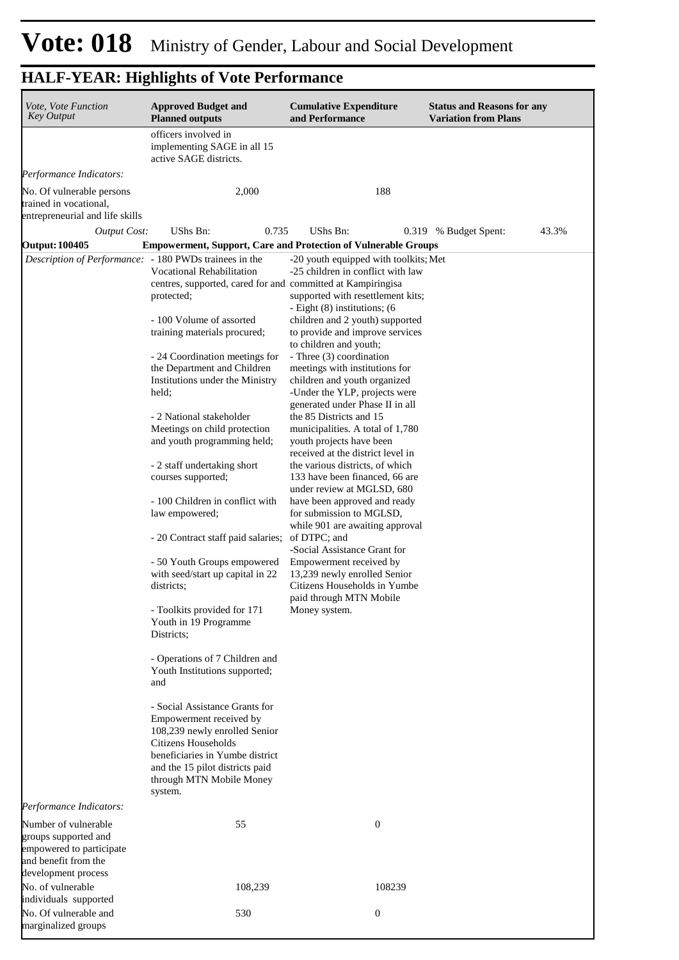| Vote, Vote Function<br><b>Key Output</b>                                                                                | <b>Approved Budget and</b><br><b>Planned outputs</b>                                                                                                                                                                                  | <b>Cumulative Expenditure</b><br>and Performance                                                                             | <b>Status and Reasons for any</b><br><b>Variation from Plans</b> |
|-------------------------------------------------------------------------------------------------------------------------|---------------------------------------------------------------------------------------------------------------------------------------------------------------------------------------------------------------------------------------|------------------------------------------------------------------------------------------------------------------------------|------------------------------------------------------------------|
|                                                                                                                         | officers involved in<br>implementing SAGE in all 15<br>active SAGE districts.                                                                                                                                                         |                                                                                                                              |                                                                  |
| Performance Indicators:                                                                                                 |                                                                                                                                                                                                                                       |                                                                                                                              |                                                                  |
| No. Of vulnerable persons<br>trained in vocational,<br>entrepreneurial and life skills                                  | 2,000                                                                                                                                                                                                                                 | 188                                                                                                                          |                                                                  |
| <b>Output Cost:</b>                                                                                                     | UShs Bn:<br>0.735                                                                                                                                                                                                                     | UShs Bn:                                                                                                                     | 43.3%<br>0.319 % Budget Spent:                                   |
| <b>Output: 100405</b>                                                                                                   | <b>Empowerment, Support, Care and Protection of Vulnerable Groups</b>                                                                                                                                                                 |                                                                                                                              |                                                                  |
| Description of Performance: - 180 PWDs trainees in the                                                                  | <b>Vocational Rehabilitation</b><br>centres, supported, cared for and committed at Kampiringisa<br>protected;                                                                                                                         | -20 youth equipped with toolkits; Met<br>-25 children in conflict with law<br>supported with resettlement kits;              |                                                                  |
|                                                                                                                         | - 100 Volume of assorted<br>training materials procured;                                                                                                                                                                              | - Eight (8) institutions; (6<br>children and 2 youth) supported<br>to provide and improve services                           |                                                                  |
|                                                                                                                         | - 24 Coordination meetings for<br>the Department and Children                                                                                                                                                                         | to children and youth;<br>- Three (3) coordination<br>meetings with institutions for                                         |                                                                  |
|                                                                                                                         | Institutions under the Ministry<br>held;                                                                                                                                                                                              | children and youth organized<br>-Under the YLP, projects were<br>generated under Phase II in all                             |                                                                  |
|                                                                                                                         | - 2 National stakeholder<br>Meetings on child protection<br>and youth programming held;                                                                                                                                               | the 85 Districts and 15<br>municipalities. A total of 1,780<br>youth projects have been<br>received at the district level in |                                                                  |
|                                                                                                                         | - 2 staff undertaking short<br>courses supported;                                                                                                                                                                                     | the various districts, of which<br>133 have been financed, 66 are<br>under review at MGLSD, 680                              |                                                                  |
|                                                                                                                         | - 100 Children in conflict with<br>law empowered;                                                                                                                                                                                     | have been approved and ready<br>for submission to MGLSD,<br>while 901 are awaiting approval                                  |                                                                  |
|                                                                                                                         | - 20 Contract staff paid salaries;                                                                                                                                                                                                    | of DTPC; and<br>-Social Assistance Grant for                                                                                 |                                                                  |
|                                                                                                                         | - 50 Youth Groups empowered<br>with seed/start up capital in 22<br>districts;                                                                                                                                                         | Empowerment received by<br>13,239 newly enrolled Senior<br>Citizens Households in Yumbe<br>paid through MTN Mobile           |                                                                  |
|                                                                                                                         | - Toolkits provided for 171<br>Youth in 19 Programme<br>Districts;                                                                                                                                                                    | Money system.                                                                                                                |                                                                  |
|                                                                                                                         | - Operations of 7 Children and<br>Youth Institutions supported;<br>and                                                                                                                                                                |                                                                                                                              |                                                                  |
|                                                                                                                         | - Social Assistance Grants for<br>Empowerment received by<br>108,239 newly enrolled Senior<br><b>Citizens Households</b><br>beneficiaries in Yumbe district<br>and the 15 pilot districts paid<br>through MTN Mobile Money<br>system. |                                                                                                                              |                                                                  |
| Performance Indicators:                                                                                                 |                                                                                                                                                                                                                                       |                                                                                                                              |                                                                  |
| Number of vulnerable<br>groups supported and<br>empowered to participate<br>and benefit from the<br>development process | 55                                                                                                                                                                                                                                    | $\boldsymbol{0}$                                                                                                             |                                                                  |
| No. of vulnerable<br>individuals supported                                                                              | 108,239                                                                                                                                                                                                                               | 108239                                                                                                                       |                                                                  |
| No. Of vulnerable and<br>marginalized groups                                                                            | 530                                                                                                                                                                                                                                   | $\boldsymbol{0}$                                                                                                             |                                                                  |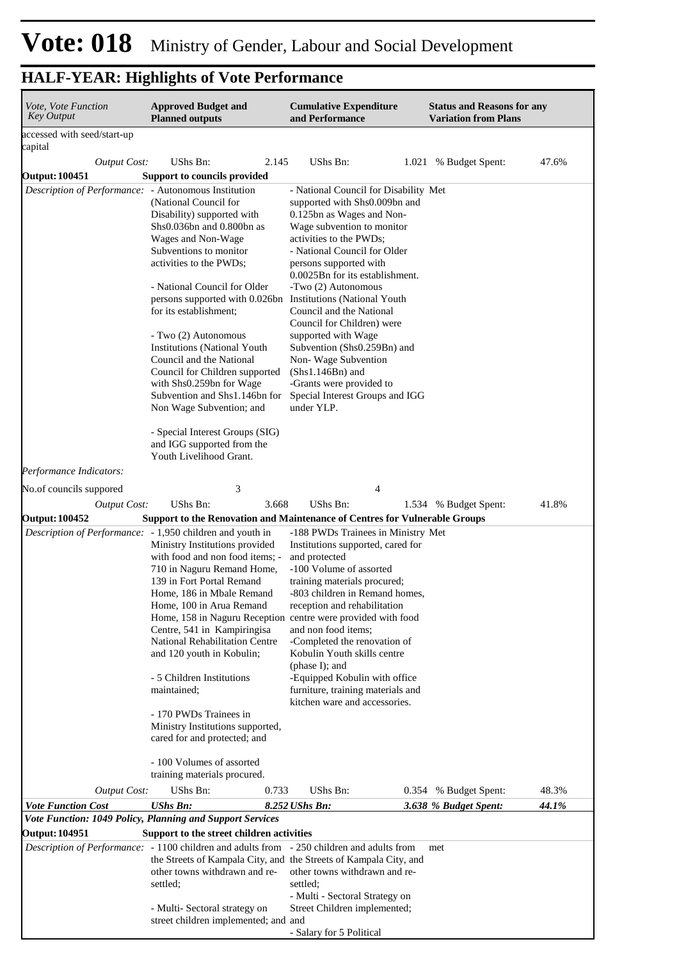| Vote, Vote Function<br><b>Key Output</b>             | <b>Approved Budget and</b><br><b>Planned outputs</b>                                                                                                                                                                                                                                                                                                                                                                                                                                                                                                                                                                    | <b>Cumulative Expenditure</b><br>and Performance                                                                                                                                                                                                                                                                                                                                                                                                                                                                           | <b>Status and Reasons for any</b><br><b>Variation from Plans</b> |       |
|------------------------------------------------------|-------------------------------------------------------------------------------------------------------------------------------------------------------------------------------------------------------------------------------------------------------------------------------------------------------------------------------------------------------------------------------------------------------------------------------------------------------------------------------------------------------------------------------------------------------------------------------------------------------------------------|----------------------------------------------------------------------------------------------------------------------------------------------------------------------------------------------------------------------------------------------------------------------------------------------------------------------------------------------------------------------------------------------------------------------------------------------------------------------------------------------------------------------------|------------------------------------------------------------------|-------|
| accessed with seed/start-up                          |                                                                                                                                                                                                                                                                                                                                                                                                                                                                                                                                                                                                                         |                                                                                                                                                                                                                                                                                                                                                                                                                                                                                                                            |                                                                  |       |
| capital                                              |                                                                                                                                                                                                                                                                                                                                                                                                                                                                                                                                                                                                                         |                                                                                                                                                                                                                                                                                                                                                                                                                                                                                                                            |                                                                  |       |
| <b>Output Cost:</b>                                  | <b>UShs Bn:</b><br>2.145                                                                                                                                                                                                                                                                                                                                                                                                                                                                                                                                                                                                | <b>UShs Bn:</b>                                                                                                                                                                                                                                                                                                                                                                                                                                                                                                            | 1.021 % Budget Spent:                                            | 47.6% |
| <b>Output: 100451</b>                                | Support to councils provided                                                                                                                                                                                                                                                                                                                                                                                                                                                                                                                                                                                            |                                                                                                                                                                                                                                                                                                                                                                                                                                                                                                                            |                                                                  |       |
| Description of Performance: - Autonomous Institution | (National Council for<br>Disability) supported with<br>Shs0.036bn and 0.800bn as<br>Wages and Non-Wage<br>Subventions to monitor<br>activities to the PWDs;<br>- National Council for Older<br>persons supported with 0.026bn Institutions (National Youth<br>for its establishment;<br>- Two (2) Autonomous<br><b>Institutions (National Youth</b><br>Council and the National<br>Council for Children supported<br>with Shs0.259bn for Wage<br>Subvention and Shs1.146bn for<br>Non Wage Subvention; and<br>- Special Interest Groups (SIG)                                                                           | - National Council for Disability Met<br>supported with Shs0.009bn and<br>0.125bn as Wages and Non-<br>Wage subvention to monitor<br>activities to the PWDs;<br>- National Council for Older<br>persons supported with<br>0.0025Bn for its establishment.<br>-Two (2) Autonomous<br>Council and the National<br>Council for Children) were<br>supported with Wage<br>Subvention (Shs0.259Bn) and<br>Non-Wage Subvention<br>$(Shs1.146Bn)$ and<br>-Grants were provided to<br>Special Interest Groups and IGG<br>under YLP. |                                                                  |       |
|                                                      | and IGG supported from the<br>Youth Livelihood Grant.                                                                                                                                                                                                                                                                                                                                                                                                                                                                                                                                                                   |                                                                                                                                                                                                                                                                                                                                                                                                                                                                                                                            |                                                                  |       |
| Performance Indicators:                              |                                                                                                                                                                                                                                                                                                                                                                                                                                                                                                                                                                                                                         |                                                                                                                                                                                                                                                                                                                                                                                                                                                                                                                            |                                                                  |       |
| No. of councils suppored                             | 3                                                                                                                                                                                                                                                                                                                                                                                                                                                                                                                                                                                                                       | 4                                                                                                                                                                                                                                                                                                                                                                                                                                                                                                                          |                                                                  |       |
| <b>Output Cost:</b>                                  | UShs Bn:<br>3.668                                                                                                                                                                                                                                                                                                                                                                                                                                                                                                                                                                                                       | <b>UShs Bn:</b>                                                                                                                                                                                                                                                                                                                                                                                                                                                                                                            | 1.534 % Budget Spent:                                            | 41.8% |
| <b>Output: 100452</b>                                | Support to the Renovation and Maintenance of Centres for Vulnerable Groups                                                                                                                                                                                                                                                                                                                                                                                                                                                                                                                                              |                                                                                                                                                                                                                                                                                                                                                                                                                                                                                                                            |                                                                  |       |
|                                                      | Description of Performance: - 1,950 children and youth in<br>Ministry Institutions provided<br>with food and non food items; -<br>710 in Naguru Remand Home,<br>139 in Fort Portal Remand<br>Home, 186 in Mbale Remand<br>Home, 100 in Arua Remand<br>Home, 158 in Naguru Reception centre were provided with food<br>Centre, 541 in Kampiringisa<br>National Rehabilitation Centre<br>and 120 youth in Kobulin;<br>- 5 Children Institutions<br>maintained;<br>- 170 PWDs Trainees in<br>Ministry Institutions supported,<br>cared for and protected; and<br>- 100 Volumes of assorted<br>training materials procured. | -188 PWDs Trainees in Ministry Met<br>Institutions supported, cared for<br>and protected<br>-100 Volume of assorted<br>training materials procured;<br>-803 children in Remand homes,<br>reception and rehabilitation<br>and non food items;<br>-Completed the renovation of<br>Kobulin Youth skills centre<br>(phase I); and<br>-Equipped Kobulin with office<br>furniture, training materials and<br>kitchen ware and accessories.                                                                                       |                                                                  |       |
|                                                      | UShs Bn:<br>0.733                                                                                                                                                                                                                                                                                                                                                                                                                                                                                                                                                                                                       | UShs Bn:                                                                                                                                                                                                                                                                                                                                                                                                                                                                                                                   |                                                                  | 48.3% |
| <b>Output Cost:</b><br><b>Vote Function Cost</b>     | <b>UShs Bn:</b>                                                                                                                                                                                                                                                                                                                                                                                                                                                                                                                                                                                                         |                                                                                                                                                                                                                                                                                                                                                                                                                                                                                                                            | 0.354 % Budget Spent:                                            |       |
|                                                      | Vote Function: 1049 Policy, Planning and Support Services                                                                                                                                                                                                                                                                                                                                                                                                                                                                                                                                                               | 8.252 UShs Bn:                                                                                                                                                                                                                                                                                                                                                                                                                                                                                                             | 3.638 % Budget Spent:                                            | 44.1% |
| <b>Output: 104951</b>                                | Support to the street children activities                                                                                                                                                                                                                                                                                                                                                                                                                                                                                                                                                                               |                                                                                                                                                                                                                                                                                                                                                                                                                                                                                                                            |                                                                  |       |
|                                                      | Description of Performance: - 1100 children and adults from - 250 children and adults from<br>the Streets of Kampala City, and the Streets of Kampala City, and<br>other towns withdrawn and re-<br>settled;<br>- Multi- Sectoral strategy on<br>street children implemented; and and                                                                                                                                                                                                                                                                                                                                   | other towns withdrawn and re-<br>settled:<br>- Multi - Sectoral Strategy on<br>Street Children implemented;<br>- Salary for 5 Political                                                                                                                                                                                                                                                                                                                                                                                    | met                                                              |       |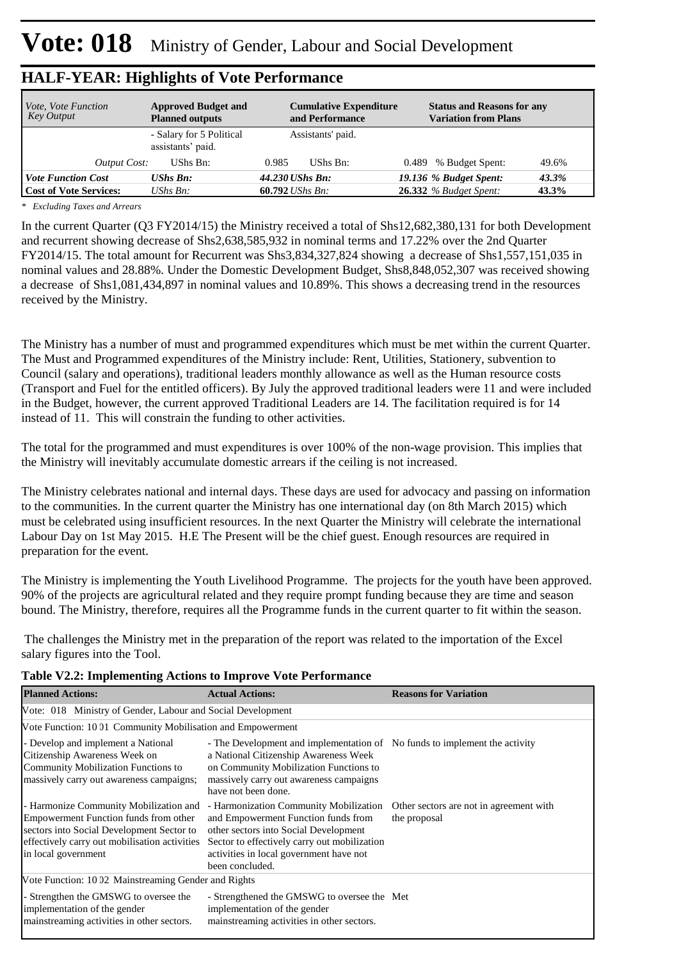| <i>Vote, Vote Function</i><br><b>Key Output</b> | <b>Approved Budget and</b><br><b>Planned outputs</b> | <b>Cumulative Expenditure</b><br>and Performance | <b>Status and Reasons for any</b><br><b>Variation from Plans</b> |
|-------------------------------------------------|------------------------------------------------------|--------------------------------------------------|------------------------------------------------------------------|
|                                                 | - Salary for 5 Political<br>assistants' paid.        | Assistants' paid.                                |                                                                  |
| Output Cost:                                    | UShs Bn:                                             | UShs Bn:<br>0.985                                | 0.489 % Budget Spent:<br>49.6%                                   |
| <b>Vote Function Cost</b>                       | <b>UShs Bn:</b>                                      | 44.230 UShs Bn:                                  | 19.136 % Budget Spent:<br>43.3%                                  |
| <b>Cost of Vote Services:</b>                   | UShs $B_n$ :                                         | 60.792 <i>UShs Bn</i> :                          | <b>26.332</b> % Budget Spent:<br>43.3%                           |

*\* Excluding Taxes and Arrears*

In the current Quarter (Q3 FY2014/15) the Ministry received a total of Shs12,682,380,131 for both Development and recurrent showing decrease of Shs2,638,585,932 in nominal terms and 17.22% over the 2nd Quarter FY2014/15. The total amount for Recurrent was Shs3,834,327,824 showing a decrease of Shs1,557,151,035 in nominal values and 28.88%. Under the Domestic Development Budget, Shs8,848,052,307 was received showing a decrease of Shs1,081,434,897 in nominal values and 10.89%. This shows a decreasing trend in the resources received by the Ministry.

The Ministry has a number of must and programmed expenditures which must be met within the current Quarter. The Must and Programmed expenditures of the Ministry include: Rent, Utilities, Stationery, subvention to Council (salary and operations), traditional leaders monthly allowance as well as the Human resource costs (Transport and Fuel for the entitled officers). By July the approved traditional leaders were 11 and were included in the Budget, however, the current approved Traditional Leaders are 14. The facilitation required is for 14 instead of 11. This will constrain the funding to other activities.

The total for the programmed and must expenditures is over 100% of the non-wage provision. This implies that the Ministry will inevitably accumulate domestic arrears if the ceiling is not increased.

The Ministry celebrates national and internal days. These days are used for advocacy and passing on information to the communities. In the current quarter the Ministry has one international day (on 8th March 2015) which must be celebrated using insufficient resources. In the next Quarter the Ministry will celebrate the international Labour Day on 1st May 2015. H.E The Present will be the chief guest. Enough resources are required in preparation for the event.

The Ministry is implementing the Youth Livelihood Programme. The projects for the youth have been approved. 90% of the projects are agricultural related and they require prompt funding because they are time and season bound. The Ministry, therefore, requires all the Programme funds in the current quarter to fit within the season.

 The challenges the Ministry met in the preparation of the report was related to the importation of the Excel salary figures into the Tool.

|  |  |  |  |  | Table V2.2: Implementing Actions to Improve Vote Performance |
|--|--|--|--|--|--------------------------------------------------------------|
|--|--|--|--|--|--------------------------------------------------------------|

| <b>Planned Actions:</b>                                                                                                                                                                              | <b>Actual Actions:</b>                                                                                                                                                                                                               | <b>Reasons for Variation</b>                            |  |  |  |
|------------------------------------------------------------------------------------------------------------------------------------------------------------------------------------------------------|--------------------------------------------------------------------------------------------------------------------------------------------------------------------------------------------------------------------------------------|---------------------------------------------------------|--|--|--|
| Vote: 018 Ministry of Gender, Labour and Social Development                                                                                                                                          |                                                                                                                                                                                                                                      |                                                         |  |  |  |
|                                                                                                                                                                                                      | Vote Function: 10 01 Community Mobilisation and Empowerment                                                                                                                                                                          |                                                         |  |  |  |
| - Develop and implement a National<br>Citizenship Awareness Week on<br>Community Mobilization Functions to<br>massively carry out awareness campaigns;                                               | - The Development and implementation of No funds to implement the activity<br>a National Citizenship Awareness Week<br>on Community Mobilization Functions to<br>massively carry out awareness campaigns<br>have not been done.      |                                                         |  |  |  |
| - Harmonize Community Mobilization and<br>Empowerment Function funds from other<br>sectors into Social Development Sector to<br>effectively carry out mobilisation activities<br>in local government | - Harmonization Community Mobilization<br>and Empowerment Function funds from<br>other sectors into Social Development<br>Sector to effectively carry out mobilization<br>activities in local government have not<br>been concluded. | Other sectors are not in agreement with<br>the proposal |  |  |  |
| Vote Function: 10 02 Mainstreaming Gender and Rights                                                                                                                                                 |                                                                                                                                                                                                                                      |                                                         |  |  |  |
| - Strengthen the GMSWG to oversee the<br>implementation of the gender<br>mainstreaming activities in other sectors.                                                                                  | - Strengthened the GMSWG to oversee the Met<br>implementation of the gender<br>mainstreaming activities in other sectors.                                                                                                            |                                                         |  |  |  |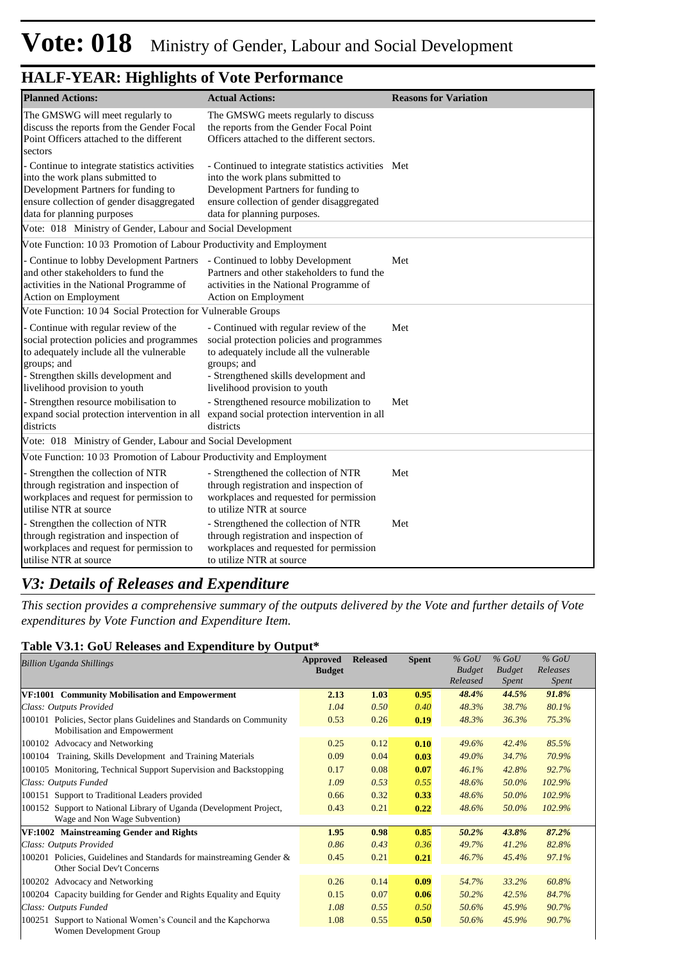| <b>Planned Actions:</b>                                                                                                                                                                                                   | <b>Actual Actions:</b>                                                                                                                                                                                                   | <b>Reasons for Variation</b> |
|---------------------------------------------------------------------------------------------------------------------------------------------------------------------------------------------------------------------------|--------------------------------------------------------------------------------------------------------------------------------------------------------------------------------------------------------------------------|------------------------------|
| The GMSWG will meet regularly to<br>discuss the reports from the Gender Focal<br>Point Officers attached to the different<br>sectors                                                                                      | The GMSWG meets regularly to discuss<br>the reports from the Gender Focal Point<br>Officers attached to the different sectors.                                                                                           |                              |
| - Continue to integrate statistics activities<br>into the work plans submitted to<br>Development Partners for funding to<br>ensure collection of gender disaggregated<br>data for planning purposes                       | - Continued to integrate statistics activities Met<br>into the work plans submitted to<br>Development Partners for funding to<br>ensure collection of gender disaggregated<br>data for planning purposes.                |                              |
| Vote: 018 Ministry of Gender, Labour and Social Development                                                                                                                                                               |                                                                                                                                                                                                                          |                              |
| Vote Function: 10 03 Promotion of Labour Productivity and Employment<br>- Continue to lobby Development Partners<br>and other stakeholders to fund the<br>activities in the National Programme of<br>Action on Employment | - Continued to lobby Development<br>Partners and other stakeholders to fund the<br>activities in the National Programme of<br>Action on Employment                                                                       | Met                          |
| Vote Function: 10 04 Social Protection for Vulnerable Groups                                                                                                                                                              |                                                                                                                                                                                                                          |                              |
| - Continue with regular review of the<br>social protection policies and programmes<br>to adequately include all the vulnerable<br>groups; and<br>- Strengthen skills development and<br>livelihood provision to youth     | - Continued with regular review of the<br>social protection policies and programmes<br>to adequately include all the vulnerable<br>groups; and<br>- Strengthened skills development and<br>livelihood provision to youth | Met                          |
| - Strengthen resource mobilisation to<br>expand social protection intervention in all<br>districts                                                                                                                        | - Strengthened resource mobilization to<br>expand social protection intervention in all<br>districts                                                                                                                     | Met                          |
| Vote: 018 Ministry of Gender, Labour and Social Development                                                                                                                                                               |                                                                                                                                                                                                                          |                              |
| Vote Function: 10 03 Promotion of Labour Productivity and Employment                                                                                                                                                      |                                                                                                                                                                                                                          |                              |
| - Strengthen the collection of NTR<br>through registration and inspection of<br>workplaces and request for permission to<br>utilise NTR at source                                                                         | - Strengthened the collection of NTR<br>through registration and inspection of<br>workplaces and requested for permission<br>to utilize NTR at source                                                                    | Met                          |
| Strengthen the collection of NTR<br>through registration and inspection of<br>workplaces and request for permission to<br>utilise NTR at source                                                                           | - Strengthened the collection of NTR<br>through registration and inspection of<br>workplaces and requested for permission<br>to utilize NTR at source                                                                    | Met                          |

#### *V3: Details of Releases and Expenditure*

*This section provides a comprehensive summary of the outputs delivered by the Vote and further details of Vote expenditures by Vote Function and Expenditure Item.*

#### **Table V3.1: GoU Releases and Expenditure by Output\***

| <b>Billion Uganda Shillings</b>                                                                     | Approved<br><b>Budget</b> | <b>Released</b> | <b>Spent</b> | $%$ GoU<br><b>Budget</b><br>Released | $%$ GoU<br><b>Budget</b><br><i>Spent</i> | $%$ GoU<br>Releases<br><i>Spent</i> |  |
|-----------------------------------------------------------------------------------------------------|---------------------------|-----------------|--------------|--------------------------------------|------------------------------------------|-------------------------------------|--|
| VF:1001 Community Mobilisation and Empowerment                                                      | 2.13                      | 1.03            | 0.95         | 48.4%                                | 44.5%                                    | 91.8%                               |  |
| Class: Outputs Provided                                                                             | 1.04                      | 0.50            | 0.40         | 48.3%                                | 38.7%                                    | 80.1%                               |  |
| 100101 Policies, Sector plans Guidelines and Standards on Community<br>Mobilisation and Empowerment | 0.53                      | 0.26            | 0.19         | 48.3%                                | 36.3%                                    | 75.3%                               |  |
| 100102 Advocacy and Networking                                                                      | 0.25                      | 0.12            | 0.10         | 49.6%                                | 42.4%                                    | 85.5%                               |  |
| Training, Skills Development and Training Materials<br>100104                                       | 0.09                      | 0.04            | 0.03         | 49.0%                                | 34.7%                                    | 70.9%                               |  |
| 100105 Monitoring, Technical Support Supervision and Backstopping                                   | 0.17                      | 0.08            | 0.07         | 46.1%                                | 42.8%                                    | 92.7%                               |  |
| Class: Outputs Funded                                                                               | 1.09                      | 0.53            | 0.55         | 48.6%                                | 50.0%                                    | 102.9%                              |  |
| 100151 Support to Traditional Leaders provided                                                      | 0.66                      | 0.32            | 0.33         | 48.6%                                | 50.0%                                    | 102.9%                              |  |
| 100152 Support to National Library of Uganda (Development Project,                                  | 0.43                      | 0.21            | 0.22         | 48.6%                                | 50.0%                                    | 102.9%                              |  |
| Wage and Non Wage Subvention)                                                                       |                           |                 |              |                                      |                                          |                                     |  |
| VF:1002 Mainstreaming Gender and Rights                                                             | 1.95                      | 0.98            | 0.85         | 50.2%                                | 43.8%                                    | 87.2%                               |  |
| Class: Outputs Provided                                                                             | 0.86                      | 0.43            | 0.36         | 49.7%                                | 41.2%                                    | 82.8%                               |  |
| 100201 Policies, Guidelines and Standards for mainstreaming Gender &<br>Other Social Dev't Concerns | 0.45                      | 0.21            | 0.21         | 46.7%                                | 45.4%                                    | 97.1%                               |  |
| Advocacy and Networking<br>100202                                                                   | 0.26                      | 0.14            | 0.09         | 54.7%                                | 33.2%                                    | 60.8%                               |  |
| Capacity building for Gender and Rights Equality and Equity<br>100204                               | 0.15                      | 0.07            | 0.06         | 50.2%                                | 42.5%                                    | 84.7%                               |  |
| Class: Outputs Funded                                                                               | 1.08                      | 0.55            | 0.50         | 50.6%                                | 45.9%                                    | 90.7%                               |  |
| Support to National Women's Council and the Kapchorwa<br>100251                                     | 1.08                      | 0.55            | 0.50         | 50.6%                                | 45.9%                                    | 90.7%                               |  |
| Women Development Group                                                                             |                           |                 |              |                                      |                                          |                                     |  |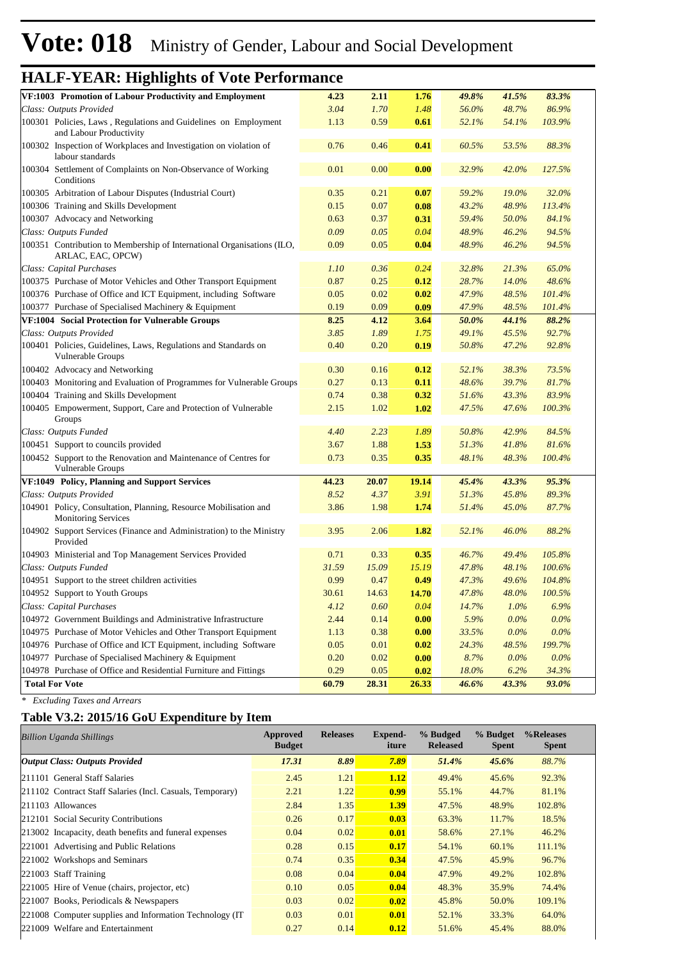# **Vote: 018** Ministry of Gender, Labour and Social Development

# **HALF-YEAR: Highlights of Vote Performance**

| VF:1003 Promotion of Labour Productivity and Employment                                        | 4.23  | 2.11  | 1.76  | 49.8% | 41.5%   | 83.3%   |  |
|------------------------------------------------------------------------------------------------|-------|-------|-------|-------|---------|---------|--|
| Class: Outputs Provided                                                                        | 3.04  | 1.70  | 1.48  | 56.0% | 48.7%   | 86.9%   |  |
| 100301 Policies, Laws, Regulations and Guidelines on Employment<br>and Labour Productivity     | 1.13  | 0.59  | 0.61  | 52.1% | 54.1%   | 103.9%  |  |
| 100302 Inspection of Workplaces and Investigation on violation of<br>labour standards          | 0.76  | 0.46  | 0.41  | 60.5% | 53.5%   | 88.3%   |  |
| 100304 Settlement of Complaints on Non-Observance of Working<br>Conditions                     | 0.01  | 0.00  | 0.00  | 32.9% | 42.0%   | 127.5%  |  |
| 100305 Arbitration of Labour Disputes (Industrial Court)                                       | 0.35  | 0.21  | 0.07  | 59.2% | 19.0%   | 32.0%   |  |
| 100306 Training and Skills Development                                                         | 0.15  | 0.07  | 0.08  | 43.2% | 48.9%   | 113.4%  |  |
| 100307 Advocacy and Networking                                                                 | 0.63  | 0.37  | 0.31  | 59.4% | 50.0%   | 84.1%   |  |
| Class: Outputs Funded                                                                          | 0.09  | 0.05  | 0.04  | 48.9% | 46.2%   | 94.5%   |  |
| 100351 Contribution to Membership of International Organisations (ILO,<br>ARLAC, EAC, OPCW)    | 0.09  | 0.05  | 0.04  | 48.9% | 46.2%   | 94.5%   |  |
| Class: Capital Purchases                                                                       | 1.10  | 0.36  | 0.24  | 32.8% | 21.3%   | 65.0%   |  |
| 100375 Purchase of Motor Vehicles and Other Transport Equipment                                | 0.87  | 0.25  | 0.12  | 28.7% | 14.0%   | 48.6%   |  |
| 100376 Purchase of Office and ICT Equipment, including Software                                | 0.05  | 0.02  | 0.02  | 47.9% | 48.5%   | 101.4%  |  |
| 100377 Purchase of Specialised Machinery & Equipment                                           | 0.19  | 0.09  | 0.09  | 47.9% | 48.5%   | 101.4%  |  |
| VF:1004 Social Protection for Vulnerable Groups                                                | 8.25  | 4.12  | 3.64  | 50.0% | 44.1%   | 88.2%   |  |
| Class: Outputs Provided                                                                        | 3.85  | 1.89  | 1.75  | 49.1% | 45.5%   | 92.7%   |  |
| 100401 Policies, Guidelines, Laws, Regulations and Standards on<br>Vulnerable Groups           | 0.40  | 0.20  | 0.19  | 50.8% | 47.2%   | 92.8%   |  |
| 100402 Advocacy and Networking                                                                 | 0.30  | 0.16  | 0.12  | 52.1% | 38.3%   | 73.5%   |  |
| 100403 Monitoring and Evaluation of Programmes for Vulnerable Groups                           | 0.27  | 0.13  | 0.11  | 48.6% | 39.7%   | 81.7%   |  |
| 100404 Training and Skills Development                                                         | 0.74  | 0.38  | 0.32  | 51.6% | 43.3%   | 83.9%   |  |
| 100405 Empowerment, Support, Care and Protection of Vulnerable<br>Groups                       | 2.15  | 1.02  | 1.02  | 47.5% | 47.6%   | 100.3%  |  |
| Class: Outputs Funded                                                                          | 4.40  | 2.23  | 1.89  | 50.8% | 42.9%   | 84.5%   |  |
| 100451 Support to councils provided                                                            | 3.67  | 1.88  | 1.53  | 51.3% | 41.8%   | 81.6%   |  |
| 100452 Support to the Renovation and Maintenance of Centres for<br>Vulnerable Groups           | 0.73  | 0.35  | 0.35  | 48.1% | 48.3%   | 100.4%  |  |
| VF:1049 Policy, Planning and Support Services                                                  | 44.23 | 20.07 | 19.14 | 45.4% | 43.3%   | 95.3%   |  |
| Class: Outputs Provided                                                                        | 8.52  | 4.37  | 3.91  | 51.3% | 45.8%   | 89.3%   |  |
| 104901 Policy, Consultation, Planning, Resource Mobilisation and<br><b>Monitoring Services</b> | 3.86  | 1.98  | 1.74  | 51.4% | 45.0%   | 87.7%   |  |
| 104902 Support Services (Finance and Administration) to the Ministry<br>Provided               | 3.95  | 2.06  | 1.82  | 52.1% | 46.0%   | 88.2%   |  |
| 104903 Ministerial and Top Management Services Provided                                        | 0.71  | 0.33  | 0.35  | 46.7% | 49.4%   | 105.8%  |  |
| Class: Outputs Funded                                                                          | 31.59 | 15.09 | 15.19 | 47.8% | 48.1%   | 100.6%  |  |
| 104951 Support to the street children activities                                               | 0.99  | 0.47  | 0.49  | 47.3% | 49.6%   | 104.8%  |  |
| 104952 Support to Youth Groups                                                                 | 30.61 | 14.63 | 14.70 | 47.8% | 48.0%   | 100.5%  |  |
| Class: Capital Purchases                                                                       | 4.12  | 0.60  | 0.04  | 14.7% | 1.0%    | 6.9%    |  |
| 104972 Government Buildings and Administrative Infrastructure                                  | 2.44  | 0.14  | 0.00  | 5.9%  | $0.0\%$ | $0.0\%$ |  |
| 104975 Purchase of Motor Vehicles and Other Transport Equipment                                | 1.13  | 0.38  | 0.00  | 33.5% | $0.0\%$ | $0.0\%$ |  |
| 104976 Purchase of Office and ICT Equipment, including Software                                | 0.05  | 0.01  | 0.02  | 24.3% | 48.5%   | 199.7%  |  |
| 104977 Purchase of Specialised Machinery & Equipment                                           | 0.20  | 0.02  | 0.00  | 8.7%  | $0.0\%$ | $0.0\%$ |  |
| 104978 Purchase of Office and Residential Furniture and Fittings                               | 0.29  | 0.05  | 0.02  | 18.0% | 6.2%    | 34.3%   |  |
| <b>Total For Vote</b>                                                                          | 60.79 | 28.31 | 26.33 | 46.6% | 43.3%   | 93.0%   |  |

*\* Excluding Taxes and Arrears*

#### **Table V3.2: 2015/16 GoU Expenditure by Item**

| <b>Billion Uganda Shillings</b>                           | Approved<br><b>Budget</b> | <b>Releases</b> | Expend-<br>iture | % Budged<br><b>Released</b> | % Budget<br><b>Spent</b> | %Releases<br><b>Spent</b> |
|-----------------------------------------------------------|---------------------------|-----------------|------------------|-----------------------------|--------------------------|---------------------------|
| <b>Output Class: Outputs Provided</b>                     | 17.31                     | 8.89            | 7.89             | 51.4%                       | $45.6\%$                 | 88.7%                     |
| 211101 General Staff Salaries                             | 2.45                      | 1.21            | 1.12             | 49.4%                       | 45.6%                    | 92.3%                     |
| 211102 Contract Staff Salaries (Incl. Casuals, Temporary) | 2.21                      | 1.22            | 0.99             | 55.1%                       | 44.7%                    | 81.1%                     |
| $ 211103$ Allowances                                      | 2.84                      | 1.35            | 1.39             | 47.5%                       | 48.9%                    | 102.8%                    |
| 212101 Social Security Contributions                      | 0.26                      | 0.17            | 0.03             | 63.3%                       | 11.7%                    | 18.5%                     |
| 213002 Incapacity, death benefits and funeral expenses    | 0.04                      | 0.02            | 0.01             | 58.6%                       | 27.1%                    | 46.2%                     |
| 221001 Advertising and Public Relations                   | 0.28                      | 0.15            | 0.17             | 54.1%                       | 60.1%                    | 111.1%                    |
| 221002 Workshops and Seminars                             | 0.74                      | 0.35            | 0.34             | 47.5%                       | 45.9%                    | 96.7%                     |
| 221003 Staff Training                                     | 0.08                      | 0.04            | 0.04             | 47.9%                       | 49.2%                    | 102.8%                    |
| 221005 Hire of Venue (chairs, projector, etc)             | 0.10                      | 0.05            | 0.04             | 48.3%                       | 35.9%                    | 74.4%                     |
| 221007 Books, Periodicals & Newspapers                    | 0.03                      | 0.02            | 0.02             | 45.8%                       | 50.0%                    | 109.1%                    |
| 221008 Computer supplies and Information Technology (IT)  | 0.03                      | 0.01            | 0.01             | 52.1%                       | 33.3%                    | 64.0%                     |
| 221009 Welfare and Entertainment                          | 0.27                      | 0.14            | 0.12             | 51.6%                       | 45.4%                    | 88.0%                     |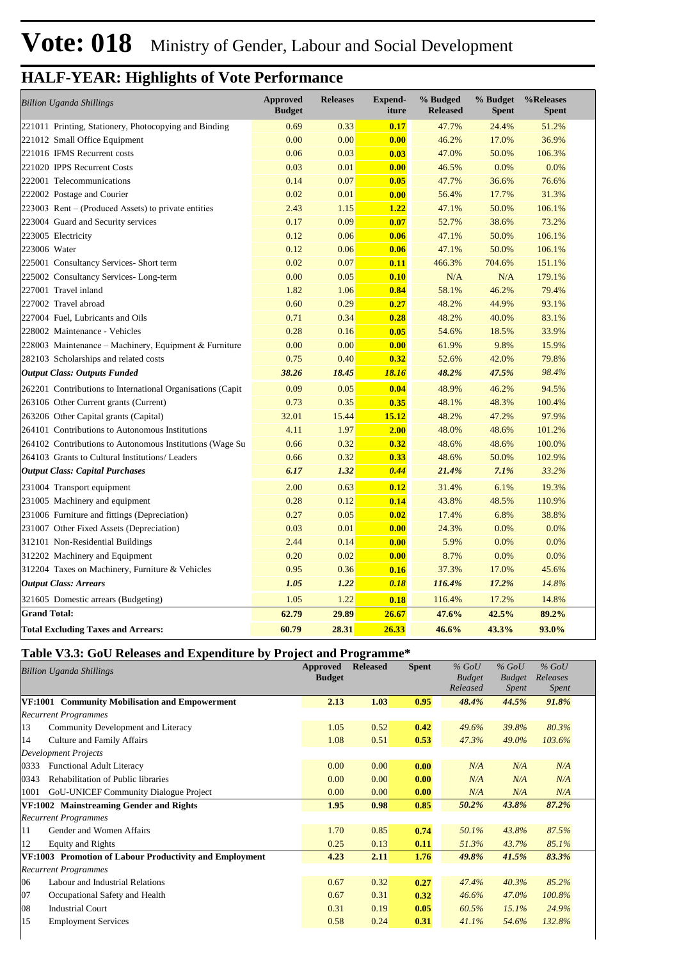| <b>Billion Uganda Shillings</b>                            | <b>Approved</b><br><b>Budget</b> | <b>Releases</b> | <b>Expend-</b><br>iture | % Budged<br><b>Released</b> | % Budget<br><b>Spent</b> | %Releases<br><b>Spent</b> |
|------------------------------------------------------------|----------------------------------|-----------------|-------------------------|-----------------------------|--------------------------|---------------------------|
| 221011 Printing, Stationery, Photocopying and Binding      | 0.69                             | 0.33            | 0.17                    | 47.7%                       | 24.4%                    | 51.2%                     |
| 221012 Small Office Equipment                              | 0.00                             | 0.00            | 0.00                    | 46.2%                       | 17.0%                    | 36.9%                     |
| 221016 IFMS Recurrent costs                                | 0.06                             | 0.03            | 0.03                    | 47.0%                       | 50.0%                    | 106.3%                    |
| 221020 IPPS Recurrent Costs                                | 0.03                             | 0.01            | 0.00                    | 46.5%                       | 0.0%                     | 0.0%                      |
| 222001 Telecommunications                                  | 0.14                             | 0.07            | 0.05                    | 47.7%                       | 36.6%                    | 76.6%                     |
| 222002 Postage and Courier                                 | 0.02                             | 0.01            | 0.00                    | 56.4%                       | 17.7%                    | 31.3%                     |
| $223003$ Rent – (Produced Assets) to private entities      | 2.43                             | 1.15            | 1.22                    | 47.1%                       | 50.0%                    | 106.1%                    |
| 223004 Guard and Security services                         | 0.17                             | 0.09            | 0.07                    | 52.7%                       | 38.6%                    | 73.2%                     |
| 223005 Electricity                                         | 0.12                             | 0.06            | 0.06                    | 47.1%                       | 50.0%                    | 106.1%                    |
| 223006 Water                                               | 0.12                             | 0.06            | 0.06                    | 47.1%                       | 50.0%                    | 106.1%                    |
| 225001 Consultancy Services- Short term                    | 0.02                             | 0.07            | 0.11                    | 466.3%                      | 704.6%                   | 151.1%                    |
| 225002 Consultancy Services-Long-term                      | 0.00                             | 0.05            | 0.10                    | N/A                         | N/A                      | 179.1%                    |
| 227001 Travel inland                                       | 1.82                             | 1.06            | 0.84                    | 58.1%                       | 46.2%                    | 79.4%                     |
| 227002 Travel abroad                                       | 0.60                             | 0.29            | 0.27                    | 48.2%                       | 44.9%                    | 93.1%                     |
| 227004 Fuel, Lubricants and Oils                           | 0.71                             | 0.34            | 0.28                    | 48.2%                       | 40.0%                    | 83.1%                     |
| 228002 Maintenance - Vehicles                              | 0.28                             | 0.16            | 0.05                    | 54.6%                       | 18.5%                    | 33.9%                     |
| 228003 Maintenance – Machinery, Equipment & Furniture      | 0.00                             | 0.00            | 0.00                    | 61.9%                       | 9.8%                     | 15.9%                     |
| 282103 Scholarships and related costs                      | 0.75                             | 0.40            | 0.32                    | 52.6%                       | 42.0%                    | 79.8%                     |
| <b>Output Class: Outputs Funded</b>                        | 38.26                            | 18.45           | 18.16                   | 48.2%                       | 47.5%                    | 98.4%                     |
| 262201 Contributions to International Organisations (Capit | 0.09                             | 0.05            | 0.04                    | 48.9%                       | 46.2%                    | 94.5%                     |
| 263106 Other Current grants (Current)                      | 0.73                             | 0.35            | 0.35                    | 48.1%                       | 48.3%                    | 100.4%                    |
| 263206 Other Capital grants (Capital)                      | 32.01                            | 15.44           | 15.12                   | 48.2%                       | 47.2%                    | 97.9%                     |
| 264101 Contributions to Autonomous Institutions            | 4.11                             | 1.97            | 2.00                    | 48.0%                       | 48.6%                    | 101.2%                    |
| 264102 Contributions to Autonomous Institutions (Wage Su   | 0.66                             | 0.32            | 0.32                    | 48.6%                       | 48.6%                    | 100.0%                    |
| 264103 Grants to Cultural Institutions/ Leaders            | 0.66                             | 0.32            | 0.33                    | 48.6%                       | 50.0%                    | 102.9%                    |
| <b>Output Class: Capital Purchases</b>                     | 6.17                             | 1.32            | 0.44                    | 21.4%                       | 7.1%                     | 33.2%                     |
| 231004 Transport equipment                                 | 2.00                             | 0.63            | 0.12                    | 31.4%                       | 6.1%                     | 19.3%                     |
| 231005 Machinery and equipment                             | 0.28                             | 0.12            | 0.14                    | 43.8%                       | 48.5%                    | 110.9%                    |
| 231006 Furniture and fittings (Depreciation)               | 0.27                             | 0.05            | 0.02                    | 17.4%                       | 6.8%                     | 38.8%                     |
| 231007 Other Fixed Assets (Depreciation)                   | 0.03                             | 0.01            | 0.00                    | 24.3%                       | 0.0%                     | 0.0%                      |
| 312101 Non-Residential Buildings                           | 2.44                             | 0.14            | 0.00                    | 5.9%                        | 0.0%                     | 0.0%                      |
| 312202 Machinery and Equipment                             | 0.20                             | 0.02            | 0.00                    | 8.7%                        | 0.0%                     | 0.0%                      |
| 312204 Taxes on Machinery, Furniture & Vehicles            | 0.95                             | 0.36            | 0.16                    | 37.3%                       | 17.0%                    | 45.6%                     |
| <b>Output Class: Arrears</b>                               | 1.05                             | 1.22            | 0.18                    | 116.4%                      | 17.2%                    | 14.8%                     |
| 321605 Domestic arrears (Budgeting)                        | 1.05                             | 1.22            | 0.18                    | 116.4%                      | 17.2%                    | 14.8%                     |
| <b>Grand Total:</b>                                        | 62.79                            | 29.89           | 26.67                   | 47.6%                       | 42.5%                    | 89.2%                     |
| <b>Total Excluding Taxes and Arrears:</b>                  | 60.79                            | 28.31           | 26.33                   | 46.6%                       | 43.3%                    | 93.0%                     |

#### **Table V3.3: GoU Releases and Expenditure by Project and Programme\***

|      | Billion Uganda Shillings                                | Approved<br><b>Budget</b> | <b>Released</b> | <b>Spent</b> | $%$ GoU<br><b>Budget</b><br>Released | $%$ GoU<br><b>Budget</b><br><i>Spent</i> | $%$ GoU<br>Releases<br>Spent |  |
|------|---------------------------------------------------------|---------------------------|-----------------|--------------|--------------------------------------|------------------------------------------|------------------------------|--|
|      | VF:1001 Community Mobilisation and Empowerment          | 2.13                      | 1.03            | 0.95         | 48.4%                                | 44.5%                                    | 91.8%                        |  |
|      | <b>Recurrent Programmes</b>                             |                           |                 |              |                                      |                                          |                              |  |
| 13   | Community Development and Literacy                      | 1.05                      | 0.52            | 0.42         | 49.6%                                | 39.8%                                    | 80.3%                        |  |
| 14   | Culture and Family Affairs                              | 1.08                      | 0.51            | 0.53         | 47.3%                                | 49.0%                                    | 103.6%                       |  |
|      | <b>Development Projects</b>                             |                           |                 |              |                                      |                                          |                              |  |
| 0333 | <b>Functional Adult Literacy</b>                        | 0.00                      | 0.00            | 0.00         | N/A                                  | N/A                                      | N/A                          |  |
| 0343 | Rehabilitation of Public libraries                      | 0.00                      | 0.00            | 0.00         | N/A                                  | N/A                                      | N/A                          |  |
| 1001 | <b>GoU-UNICEF Community Dialogue Project</b>            | 0.00                      | 0.00            | 0.00         | N/A                                  | N/A                                      | N/A                          |  |
|      | VF:1002 Mainstreaming Gender and Rights                 | 1.95                      | 0.98            | 0.85         | 50.2%                                | 43.8%                                    | 87.2%                        |  |
|      | <b>Recurrent Programmes</b>                             |                           |                 |              |                                      |                                          |                              |  |
| 11   | Gender and Women Affairs                                | 1.70                      | 0.85            | 0.74         | 50.1%                                | 43.8%                                    | 87.5%                        |  |
| 12   | <b>Equity and Rights</b>                                | 0.25                      | 0.13            | 0.11         | 51.3%                                | 43.7%                                    | 85.1%                        |  |
|      | VF:1003 Promotion of Labour Productivity and Employment | 4.23                      | 2.11            | 1.76         | 49.8%                                | 41.5%                                    | 83.3%                        |  |
|      | <b>Recurrent Programmes</b>                             |                           |                 |              |                                      |                                          |                              |  |
| 06   | Labour and Industrial Relations                         | 0.67                      | 0.32            | 0.27         | 47.4%                                | 40.3%                                    | 85.2%                        |  |
| 07   | Occupational Safety and Health                          | 0.67                      | 0.31            | 0.32         | 46.6%                                | 47.0%                                    | 100.8%                       |  |
| 08   | <b>Industrial Court</b>                                 | 0.31                      | 0.19            | 0.05         | 60.5%                                | 15.1%                                    | 24.9%                        |  |
| 15   | <b>Employment Services</b>                              | 0.58                      | 0.24            | 0.31         | 41.1%                                | 54.6%                                    | 132.8%                       |  |
|      |                                                         |                           |                 |              |                                      |                                          |                              |  |